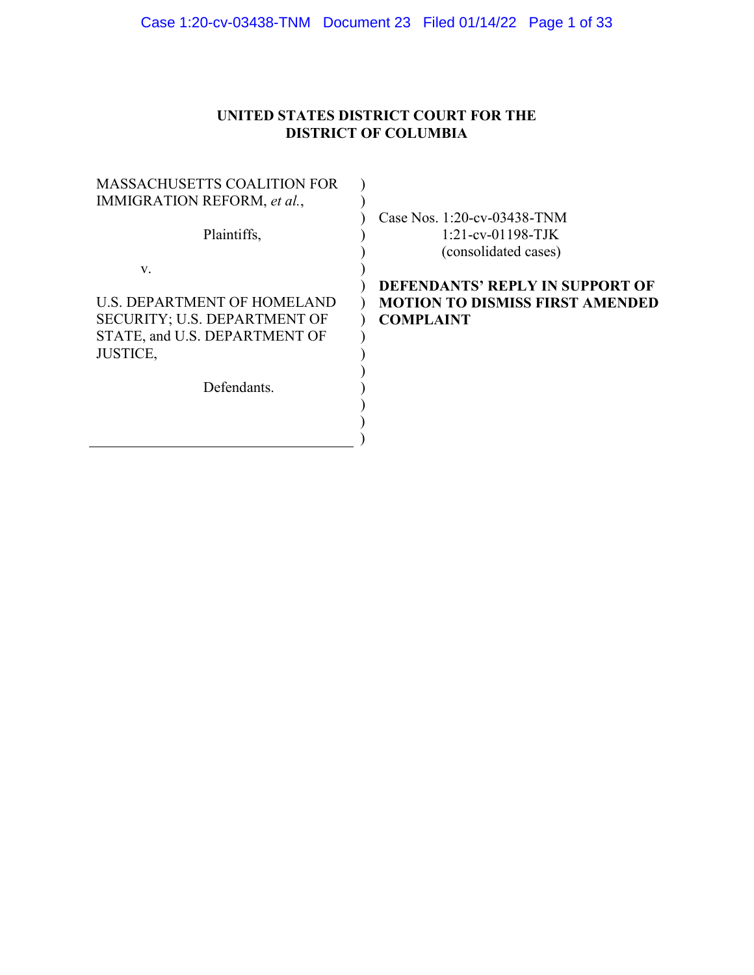## **UNITED STATES DISTRICT COURT FOR THE DISTRICT OF COLUMBIA**

| <b>MASSACHUSETTS COALITION FOR</b> |  |
|------------------------------------|--|
| IMMIGRATION REFORM, et al.,        |  |
|                                    |  |
| Plaintiffs,                        |  |
|                                    |  |
| V.                                 |  |
|                                    |  |
| <b>U.S. DEPARTMENT OF HOMELAND</b> |  |
| SECURITY; U.S. DEPARTMENT OF       |  |
| STATE, and U.S. DEPARTMENT OF      |  |
| <b>JUSTICE,</b>                    |  |
|                                    |  |
| Defendants.                        |  |
|                                    |  |
|                                    |  |
|                                    |  |
|                                    |  |

Case Nos. 1:20-cv-03438-TNM 1:21-cv-01198-TJK (consolidated cases)

## **DEFENDANTS' REPLY IN SUPPORT OF MOTION TO DISMISS FIRST AMENDED COMPLAINT**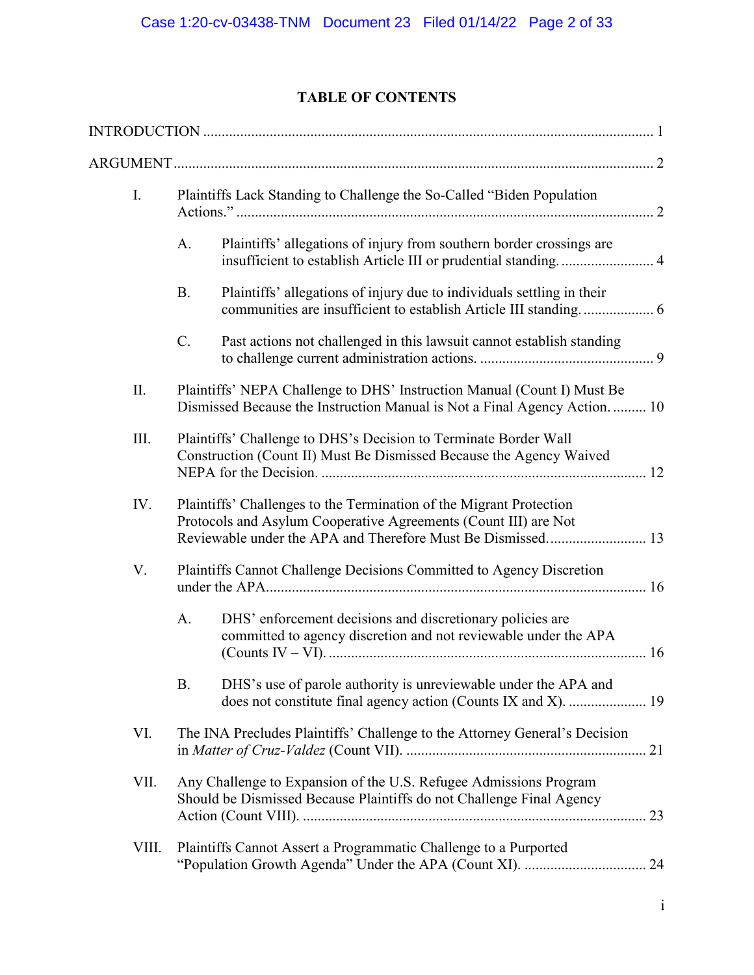## **TABLE OF CONTENTS**

| I.    |             | Plaintiffs Lack Standing to Challenge the So-Called "Biden Population                                                                                 |
|-------|-------------|-------------------------------------------------------------------------------------------------------------------------------------------------------|
|       | A.          | Plaintiffs' allegations of injury from southern border crossings are                                                                                  |
|       | <b>B.</b>   | Plaintiffs' allegations of injury due to individuals settling in their                                                                                |
|       | $C_{\cdot}$ | Past actions not challenged in this lawsuit cannot establish standing                                                                                 |
| II.   |             | Plaintiffs' NEPA Challenge to DHS' Instruction Manual (Count I) Must Be<br>Dismissed Because the Instruction Manual is Not a Final Agency Action.  10 |
| III.  |             | Plaintiffs' Challenge to DHS's Decision to Terminate Border Wall<br>Construction (Count II) Must Be Dismissed Because the Agency Waived               |
| IV.   |             | Plaintiffs' Challenges to the Termination of the Migrant Protection<br>Protocols and Asylum Cooperative Agreements (Count III) are Not                |
| V.    |             | Plaintiffs Cannot Challenge Decisions Committed to Agency Discretion                                                                                  |
|       | А.          | DHS' enforcement decisions and discretionary policies are<br>committed to agency discretion and not reviewable under the APA                          |
|       | <b>B.</b>   | DHS's use of parole authority is unreviewable under the APA and<br>does not constitute final agency action (Counts IX and X).  19                     |
| VI.   |             | The INA Precludes Plaintiffs' Challenge to the Attorney General's Decision                                                                            |
| VII.  |             | Any Challenge to Expansion of the U.S. Refugee Admissions Program<br>Should be Dismissed Because Plaintiffs do not Challenge Final Agency             |
| VIII. |             | Plaintiffs Cannot Assert a Programmatic Challenge to a Purported                                                                                      |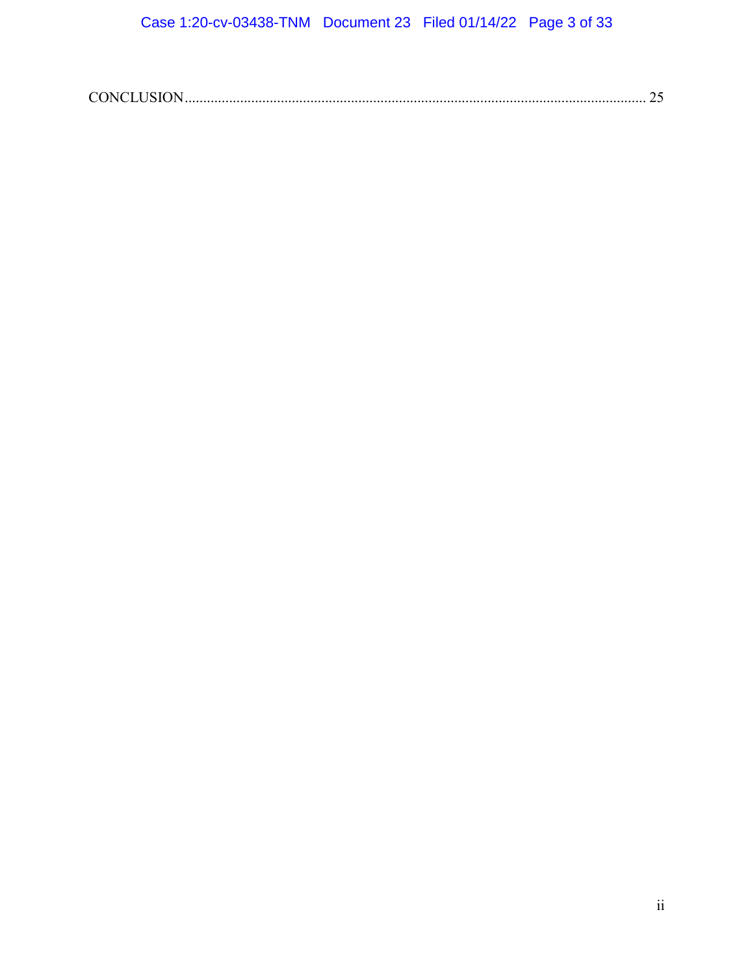|--|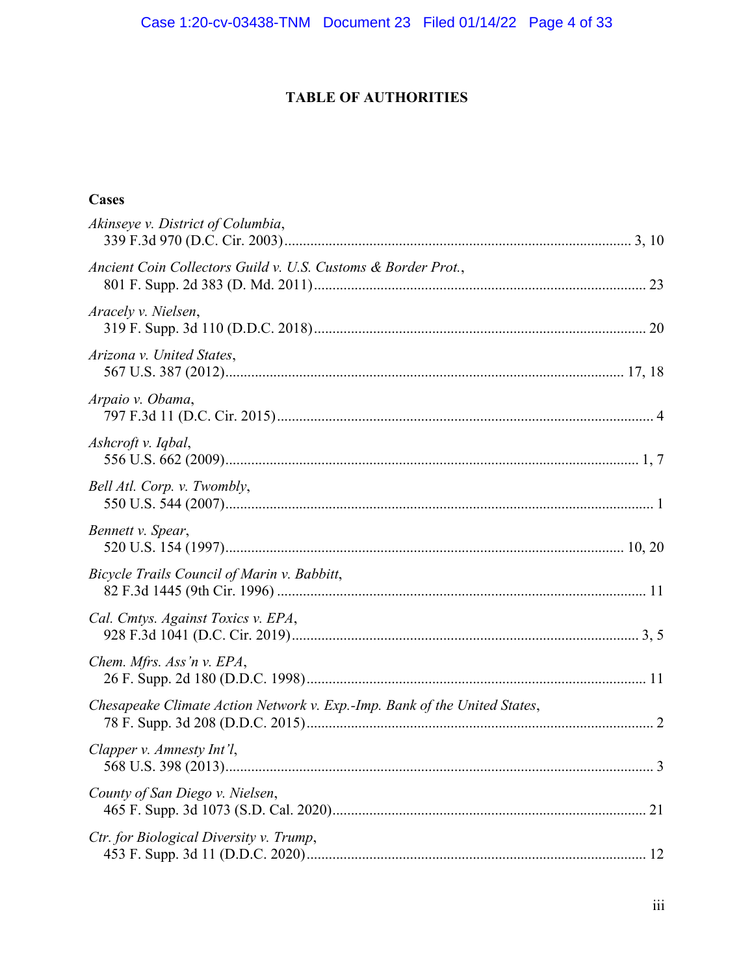## **TABLE OF AUTHORITIES**

## **Cases**

| Akinseye v. District of Columbia,                                         |
|---------------------------------------------------------------------------|
| Ancient Coin Collectors Guild v. U.S. Customs & Border Prot.,             |
| Aracely v. Nielsen,                                                       |
| Arizona v. United States,                                                 |
| Arpaio v. Obama,                                                          |
| Ashcroft v. Iqbal,                                                        |
| Bell Atl. Corp. v. Twombly,                                               |
| Bennett v. Spear,                                                         |
| Bicycle Trails Council of Marin v. Babbitt,                               |
| Cal. Cmtys. Against Toxics v. EPA,                                        |
| Chem. Mfrs. Ass'n v. EPA,                                                 |
| Chesapeake Climate Action Network v. Exp.-Imp. Bank of the United States, |
| Clapper v. Amnesty Int'l,<br>. 3                                          |
| County of San Diego v. Nielsen,                                           |
| Ctr. for Biological Diversity v. Trump,                                   |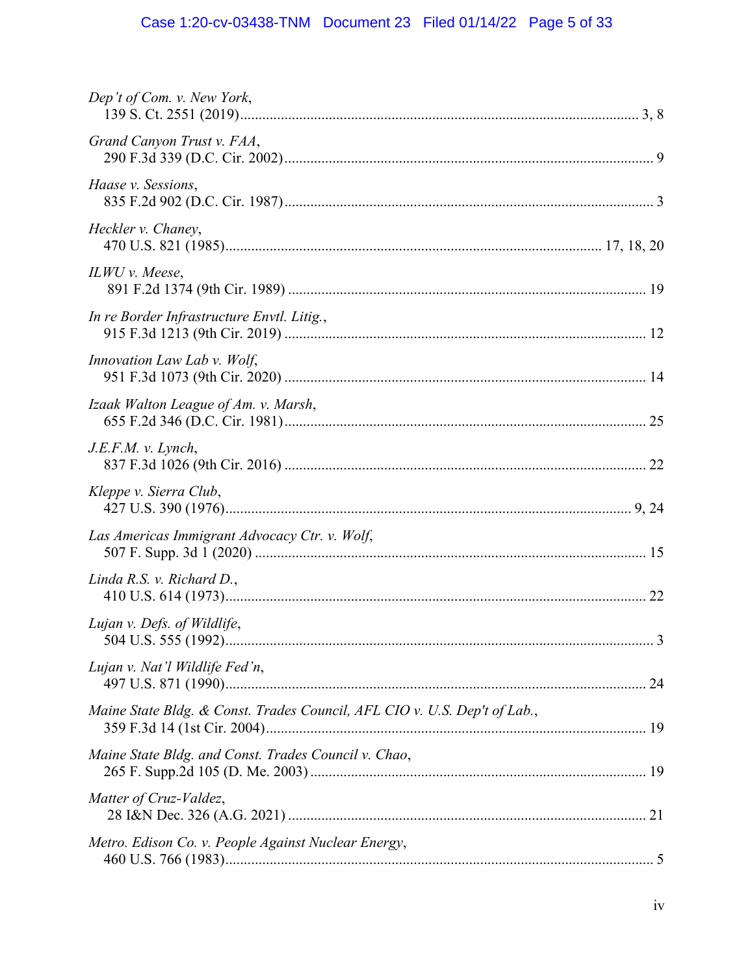# Case 1:20-cv-03438-TNM Document 23 Filed 01/14/22 Page 5 of 33

| Dep't of Com. v. New York,                                                |  |
|---------------------------------------------------------------------------|--|
| Grand Canyon Trust v. FAA,                                                |  |
| Haase v. Sessions,                                                        |  |
| Heckler v. Chaney,                                                        |  |
| ILWU v. Meese,                                                            |  |
| In re Border Infrastructure Envtl. Litig.,                                |  |
| Innovation Law Lab v. Wolf,                                               |  |
| Izaak Walton League of Am. v. Marsh,                                      |  |
| J.E.F.M. v. Lynch,                                                        |  |
| Kleppe v. Sierra Club,                                                    |  |
| Las Americas Immigrant Advocacy Ctr. v. Wolf,                             |  |
| Linda R.S. v. Richard D.,                                                 |  |
| Lujan v. Defs. of Wildlife,                                               |  |
| Lujan v. Nat'l Wildlife Fed'n,                                            |  |
| Maine State Bldg. & Const. Trades Council, AFL CIO v. U.S. Dep't of Lab., |  |
| Maine State Bldg. and Const. Trades Council v. Chao,                      |  |
| Matter of Cruz-Valdez,                                                    |  |
| Metro. Edison Co. v. People Against Nuclear Energy,                       |  |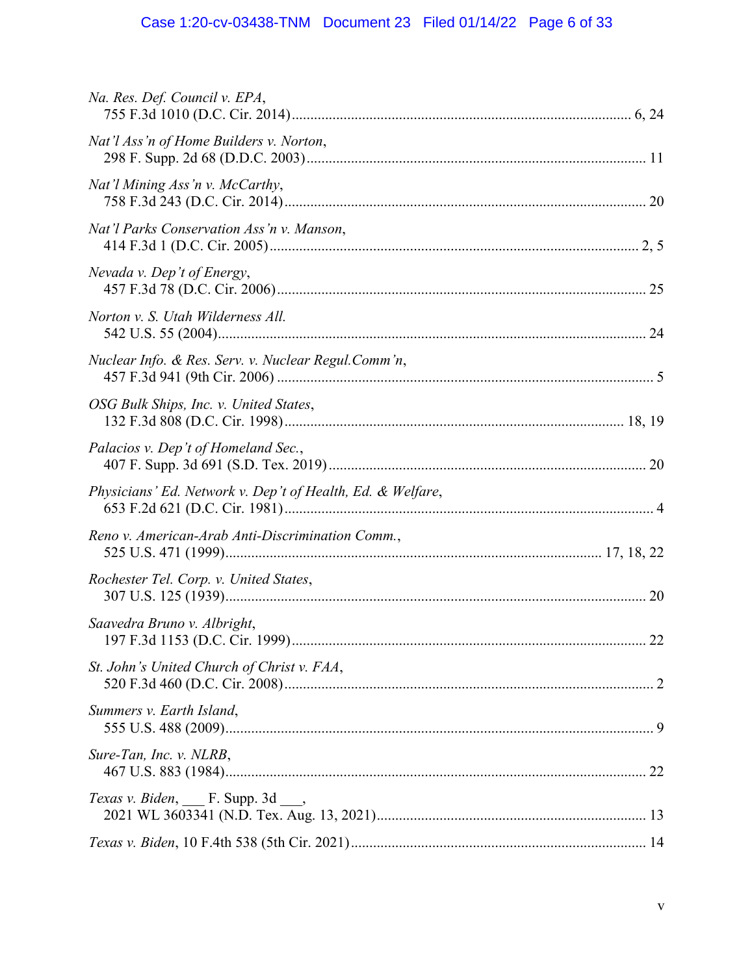# Case 1:20-cv-03438-TNM Document 23 Filed 01/14/22 Page 6 of 33

| Na. Res. Def. Council v. EPA,                              |
|------------------------------------------------------------|
| Nat'l Ass'n of Home Builders v. Norton,                    |
| Nat'l Mining Ass'n v. McCarthy,                            |
| Nat'l Parks Conservation Ass'n v. Manson,                  |
| Nevada v. Dep't of Energy,                                 |
| Norton v. S. Utah Wilderness All.                          |
| Nuclear Info. & Res. Serv. v. Nuclear Regul.Comm'n,        |
| OSG Bulk Ships, Inc. v. United States,                     |
| Palacios v. Dep't of Homeland Sec.,                        |
| Physicians' Ed. Network v. Dep't of Health, Ed. & Welfare, |
| Reno v. American-Arab Anti-Discrimination Comm.,           |
| Rochester Tel. Corp. v. United States,                     |
| Saavedra Bruno v. Albright,<br>22                          |
| St. John's United Church of Christ v. FAA,                 |
| Summers v. Earth Island,                                   |
| Sure-Tan, Inc. v. NLRB,                                    |
| Texas v. Biden, F. Supp. 3d                                |
|                                                            |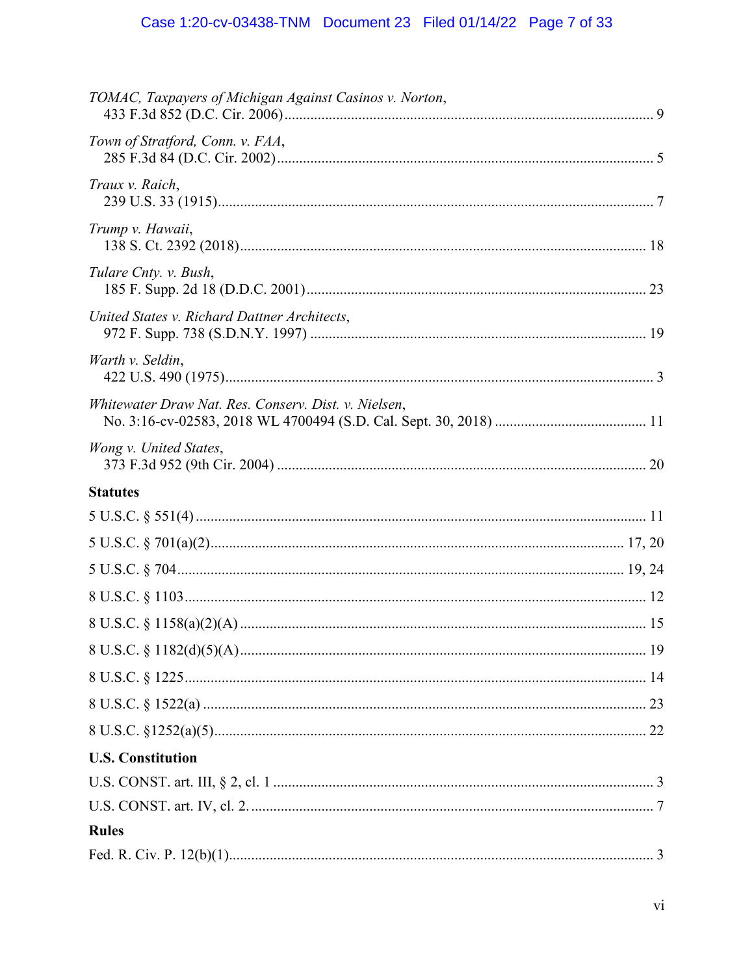# Case 1:20-cv-03438-TNM Document 23 Filed 01/14/22 Page 7 of 33

| TOMAC, Taxpayers of Michigan Against Casinos v. Norton, |  |
|---------------------------------------------------------|--|
| Town of Stratford, Conn. v. FAA,                        |  |
| Traux v. Raich,                                         |  |
| Trump v. Hawaii,                                        |  |
| Tulare Cnty. v. Bush,                                   |  |
| United States v. Richard Dattner Architects,            |  |
| Warth v. Seldin,                                        |  |
| Whitewater Draw Nat. Res. Conserv. Dist. v. Nielsen,    |  |
| Wong v. United States,                                  |  |
| <b>Statutes</b>                                         |  |
|                                                         |  |
|                                                         |  |
|                                                         |  |
|                                                         |  |
|                                                         |  |
|                                                         |  |
|                                                         |  |
|                                                         |  |
|                                                         |  |
| <b>U.S. Constitution</b>                                |  |
|                                                         |  |
|                                                         |  |
| <b>Rules</b>                                            |  |
|                                                         |  |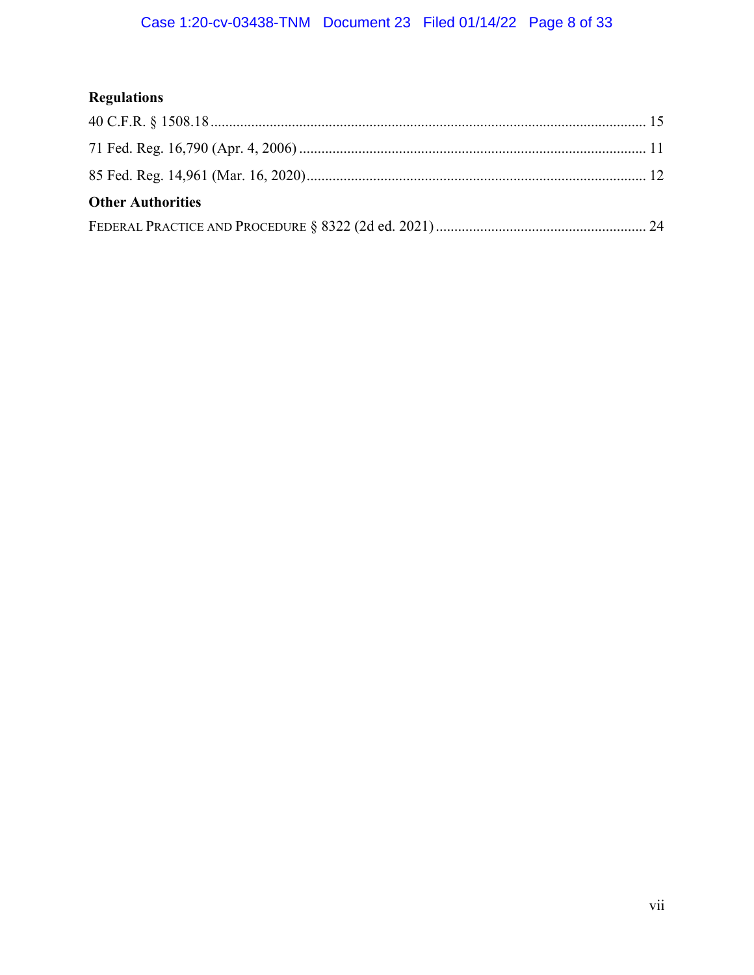# **Regulations**

| <b>Other Authorities</b> |  |
|--------------------------|--|
|                          |  |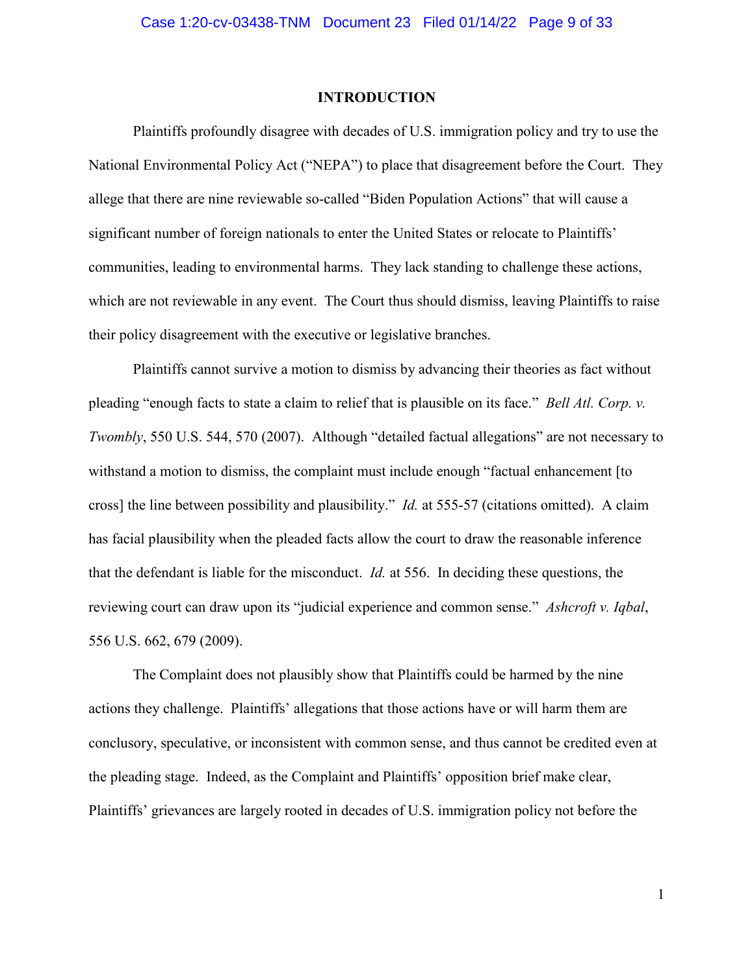#### **INTRODUCTION**

Plaintiffs profoundly disagree with decades of U.S. immigration policy and try to use the National Environmental Policy Act ("NEPA") to place that disagreement before the Court. They allege that there are nine reviewable so-called "Biden Population Actions" that will cause a significant number of foreign nationals to enter the United States or relocate to Plaintiffs' communities, leading to environmental harms. They lack standing to challenge these actions, which are not reviewable in any event. The Court thus should dismiss, leaving Plaintiffs to raise their policy disagreement with the executive or legislative branches.

Plaintiffs cannot survive a motion to dismiss by advancing their theories as fact without pleading "enough facts to state a claim to relief that is plausible on its face." *Bell Atl. Corp. v. Twombly*, 550 U.S. 544, 570 (2007). Although "detailed factual allegations" are not necessary to withstand a motion to dismiss, the complaint must include enough "factual enhancement [to cross] the line between possibility and plausibility." *Id.* at 555-57 (citations omitted). A claim has facial plausibility when the pleaded facts allow the court to draw the reasonable inference that the defendant is liable for the misconduct. *Id.* at 556. In deciding these questions, the reviewing court can draw upon its "judicial experience and common sense." *Ashcroft v. Iqbal*, 556 U.S. 662, 679 (2009).

The Complaint does not plausibly show that Plaintiffs could be harmed by the nine actions they challenge. Plaintiffs' allegations that those actions have or will harm them are conclusory, speculative, or inconsistent with common sense, and thus cannot be credited even at the pleading stage. Indeed, as the Complaint and Plaintiffs' opposition brief make clear, Plaintiffs' grievances are largely rooted in decades of U.S. immigration policy not before the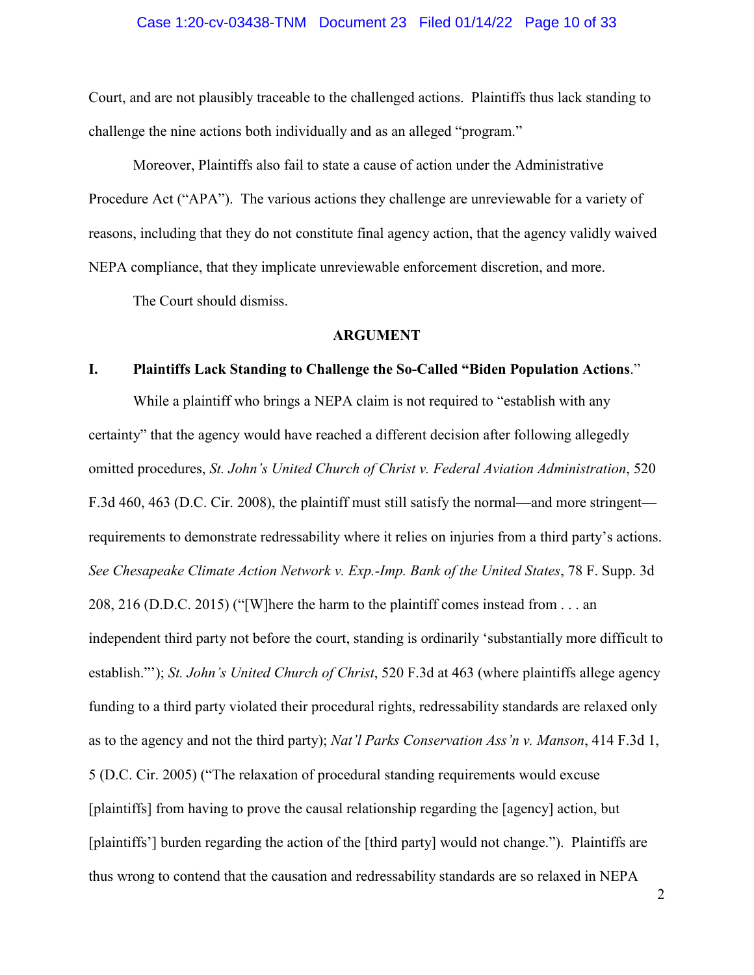#### Case 1:20-cv-03438-TNM Document 23 Filed 01/14/22 Page 10 of 33

Court, and are not plausibly traceable to the challenged actions. Plaintiffs thus lack standing to challenge the nine actions both individually and as an alleged "program."

Moreover, Plaintiffs also fail to state a cause of action under the Administrative Procedure Act ("APA"). The various actions they challenge are unreviewable for a variety of reasons, including that they do not constitute final agency action, that the agency validly waived NEPA compliance, that they implicate unreviewable enforcement discretion, and more.

The Court should dismiss.

#### **ARGUMENT**

#### **I. Plaintiffs Lack Standing to Challenge the So-Called "Biden Population Actions**."

While a plaintiff who brings a NEPA claim is not required to "establish with any certainty" that the agency would have reached a different decision after following allegedly omitted procedures, *St. John's United Church of Christ v. Federal Aviation Administration*, 520 F.3d 460, 463 (D.C. Cir. 2008), the plaintiff must still satisfy the normal—and more stringent requirements to demonstrate redressability where it relies on injuries from a third party's actions. *See Chesapeake Climate Action Network v. Exp.-Imp. Bank of the United States*, 78 F. Supp. 3d 208, 216 (D.D.C. 2015) ("[W]here the harm to the plaintiff comes instead from . . . an independent third party not before the court, standing is ordinarily 'substantially more difficult to establish."'); *St. John's United Church of Christ*, 520 F.3d at 463 (where plaintiffs allege agency funding to a third party violated their procedural rights, redressability standards are relaxed only as to the agency and not the third party); *Nat'l Parks Conservation Ass'n v. Manson*, 414 F.3d 1, 5 (D.C. Cir. 2005) ("The relaxation of procedural standing requirements would excuse [plaintiffs] from having to prove the causal relationship regarding the [agency] action, but [plaintiffs'] burden regarding the action of the [third party] would not change."). Plaintiffs are thus wrong to contend that the causation and redressability standards are so relaxed in NEPA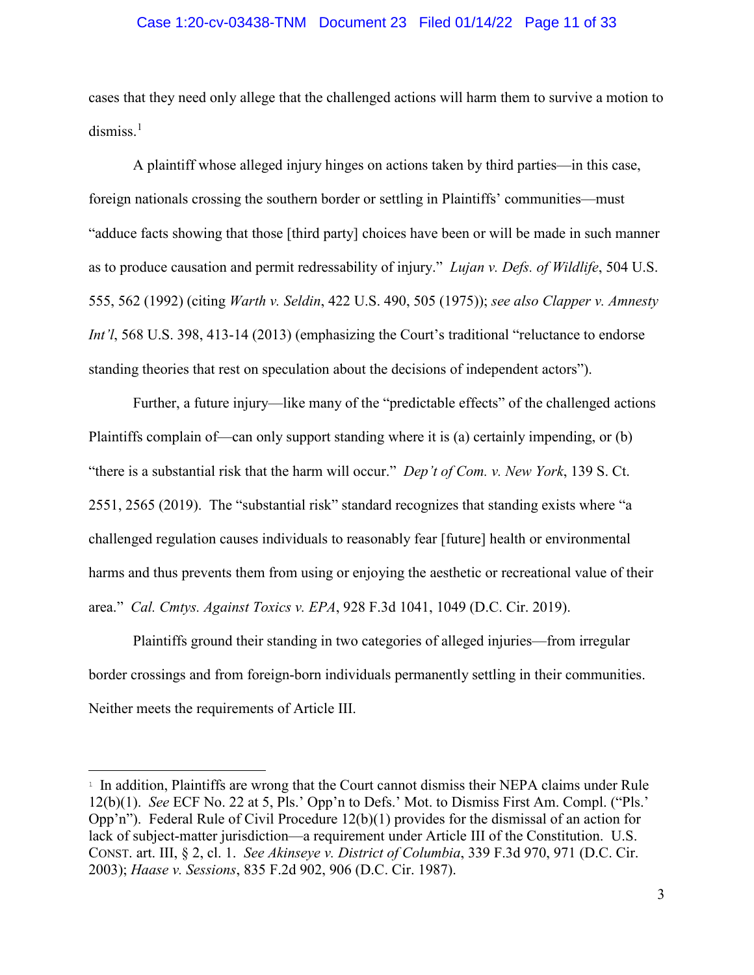### Case 1:20-cv-03438-TNM Document 23 Filed 01/14/22 Page 11 of 33

cases that they need only allege that the challenged actions will harm them to survive a motion to dismiss.<sup>[1](#page-10-0)</sup>

A plaintiff whose alleged injury hinges on actions taken by third parties—in this case, foreign nationals crossing the southern border or settling in Plaintiffs' communities—must "adduce facts showing that those [third party] choices have been or will be made in such manner as to produce causation and permit redressability of injury." *Lujan v. Defs. of Wildlife*, 504 U.S. 555, 562 (1992) (citing *Warth v. Seldin*, 422 U.S. 490, 505 (1975)); *see also Clapper v. Amnesty Int'l*, 568 U.S. 398, 413-14 (2013) (emphasizing the Court's traditional "reluctance to endorse standing theories that rest on speculation about the decisions of independent actors").

Further, a future injury—like many of the "predictable effects" of the challenged actions Plaintiffs complain of—can only support standing where it is (a) certainly impending, or (b) "there is a substantial risk that the harm will occur." *Dep't of Com. v. New York*, 139 S. Ct. 2551, 2565 (2019). The "substantial risk" standard recognizes that standing exists where "a challenged regulation causes individuals to reasonably fear [future] health or environmental harms and thus prevents them from using or enjoying the aesthetic or recreational value of their area." *Cal. Cmtys. Against Toxics v. EPA*, 928 F.3d 1041, 1049 (D.C. Cir. 2019).

Plaintiffs ground their standing in two categories of alleged injuries—from irregular border crossings and from foreign-born individuals permanently settling in their communities. Neither meets the requirements of Article III.

<span id="page-10-0"></span><sup>&</sup>lt;sup>1</sup> In addition, Plaintiffs are wrong that the Court cannot dismiss their NEPA claims under Rule 12(b)(1). *See* ECF No. 22 at 5, Pls.' Opp'n to Defs.' Mot. to Dismiss First Am. Compl. ("Pls.' Opp'n"). Federal Rule of Civil Procedure 12(b)(1) provides for the dismissal of an action for lack of subject-matter jurisdiction—a requirement under Article III of the Constitution. U.S. CONST. art. III, § 2, cl. 1. *See Akinseye v. District of Columbia*, 339 F.3d 970, 971 (D.C. Cir. 2003); *Haase v. Sessions*, 835 F.2d 902, 906 (D.C. Cir. 1987).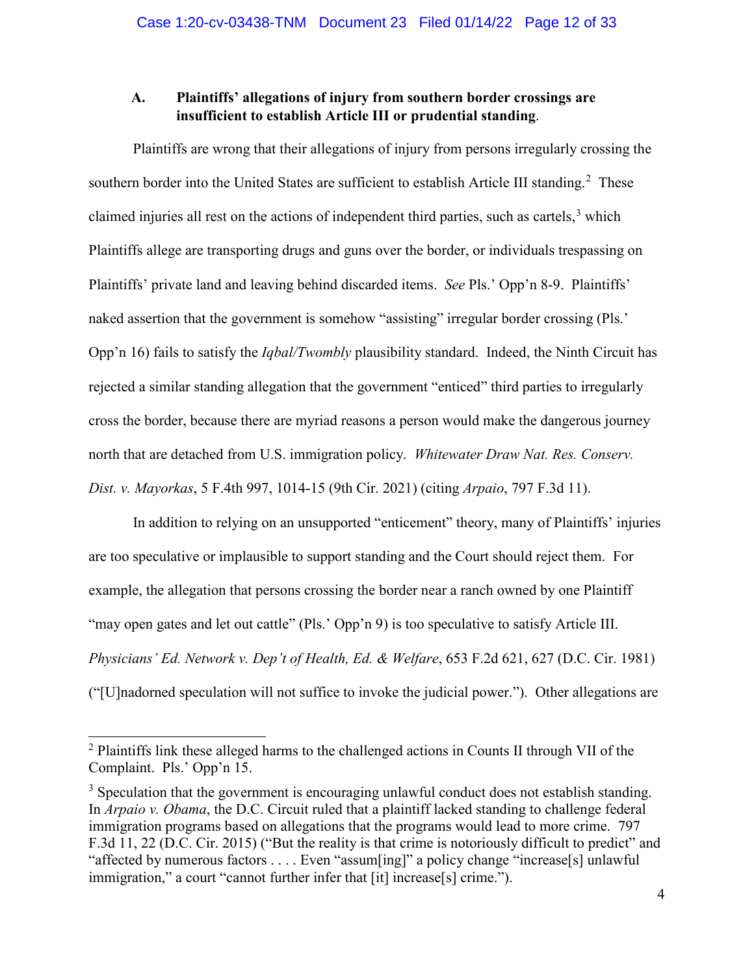## **A. Plaintiffs' allegations of injury from southern border crossings are insufficient to establish Article III or prudential standing**.

Plaintiffs are wrong that their allegations of injury from persons irregularly crossing the southern border into the United States are sufficient to establish Article III standing.<sup>[2](#page-11-0)</sup> These claimed injuries all rest on the actions of independent third parties, such as cartels,<sup>[3](#page-11-1)</sup> which Plaintiffs allege are transporting drugs and guns over the border, or individuals trespassing on Plaintiffs' private land and leaving behind discarded items. *See* Pls.' Opp'n 8-9. Plaintiffs' naked assertion that the government is somehow "assisting" irregular border crossing (Pls.' Opp'n 16) fails to satisfy the *Iqbal/Twombly* plausibility standard. Indeed, the Ninth Circuit has rejected a similar standing allegation that the government "enticed" third parties to irregularly cross the border, because there are myriad reasons a person would make the dangerous journey north that are detached from U.S. immigration policy. *Whitewater Draw Nat. Res. Conserv. Dist. v. Mayorkas*, 5 F.4th 997, 1014-15 (9th Cir. 2021) (citing *Arpaio*, 797 F.3d 11).

In addition to relying on an unsupported "enticement" theory, many of Plaintiffs' injuries are too speculative or implausible to support standing and the Court should reject them. For example, the allegation that persons crossing the border near a ranch owned by one Plaintiff "may open gates and let out cattle" (Pls.' Opp'n 9) is too speculative to satisfy Article III. *Physicians' Ed. Network v. Dep't of Health, Ed. & Welfare*, 653 F.2d 621, 627 (D.C. Cir. 1981) ("[U]nadorned speculation will not suffice to invoke the judicial power."). Other allegations are

<span id="page-11-0"></span><sup>&</sup>lt;sup>2</sup> Plaintiffs link these alleged harms to the challenged actions in Counts II through VII of the Complaint. Pls.' Opp'n 15.

<span id="page-11-1"></span> $3$  Speculation that the government is encouraging unlawful conduct does not establish standing. In *Arpaio v. Obama*, the D.C. Circuit ruled that a plaintiff lacked standing to challenge federal immigration programs based on allegations that the programs would lead to more crime. 797 F.3d 11, 22 (D.C. Cir. 2015) ("But the reality is that crime is notoriously difficult to predict" and "affected by numerous factors . . . . Even "assum[ing]" a policy change "increase[s] unlawful immigration," a court "cannot further infer that [it] increase[s] crime.").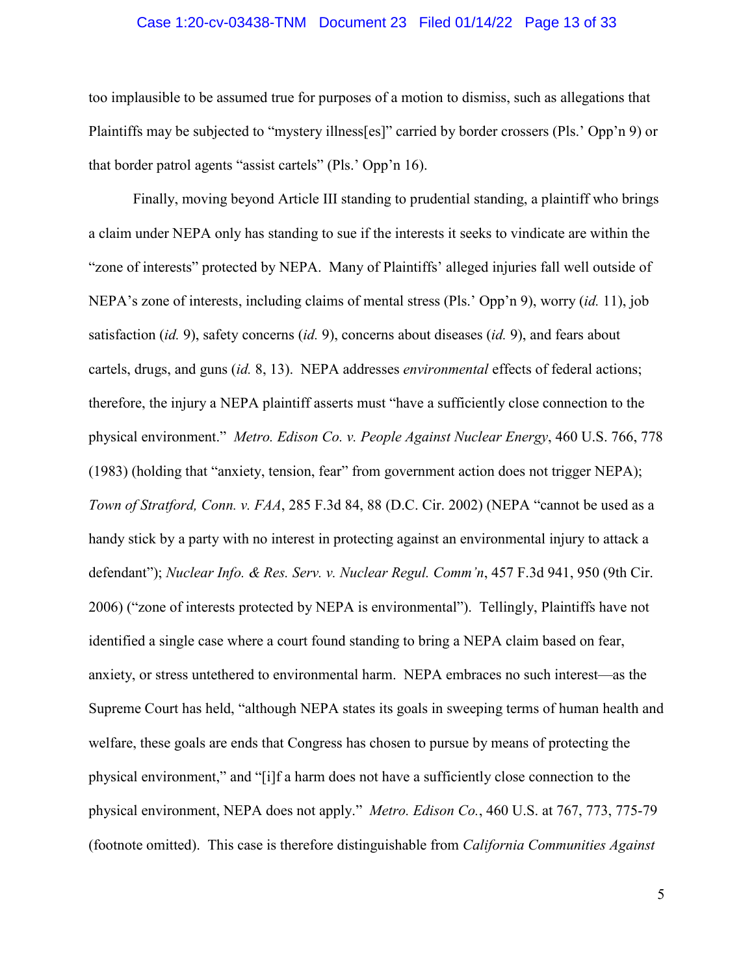### Case 1:20-cv-03438-TNM Document 23 Filed 01/14/22 Page 13 of 33

too implausible to be assumed true for purposes of a motion to dismiss, such as allegations that Plaintiffs may be subjected to "mystery illness[es]" carried by border crossers (Pls.' Opp'n 9) or that border patrol agents "assist cartels" (Pls.' Opp'n 16).

Finally, moving beyond Article III standing to prudential standing, a plaintiff who brings a claim under NEPA only has standing to sue if the interests it seeks to vindicate are within the "zone of interests" protected by NEPA. Many of Plaintiffs' alleged injuries fall well outside of NEPA's zone of interests, including claims of mental stress (Pls.' Opp'n 9), worry (*id.* 11), job satisfaction (*id.* 9), safety concerns (*id.* 9), concerns about diseases (*id.* 9), and fears about cartels, drugs, and guns (*id.* 8, 13). NEPA addresses *environmental* effects of federal actions; therefore, the injury a NEPA plaintiff asserts must "have a sufficiently close connection to the physical environment." *Metro. Edison Co. v. People Against Nuclear Energy*, 460 U.S. 766, 778 (1983) (holding that "anxiety, tension, fear" from government action does not trigger NEPA); *Town of Stratford, Conn. v. FAA*, 285 F.3d 84, 88 (D.C. Cir. 2002) (NEPA "cannot be used as a handy stick by a party with no interest in protecting against an environmental injury to attack a defendant"); *Nuclear Info. & Res. Serv. v. Nuclear Regul. Comm'n*, 457 F.3d 941, 950 (9th Cir. 2006) ("zone of interests protected by NEPA is environmental"). Tellingly, Plaintiffs have not identified a single case where a court found standing to bring a NEPA claim based on fear, anxiety, or stress untethered to environmental harm. NEPA embraces no such interest—as the Supreme Court has held, "although NEPA states its goals in sweeping terms of human health and welfare, these goals are ends that Congress has chosen to pursue by means of protecting the physical environment," and "[i]f a harm does not have a sufficiently close connection to the physical environment, NEPA does not apply." *Metro. Edison Co.*, 460 U.S. at 767, 773, 775-79 (footnote omitted). This case is therefore distinguishable from *California Communities Against*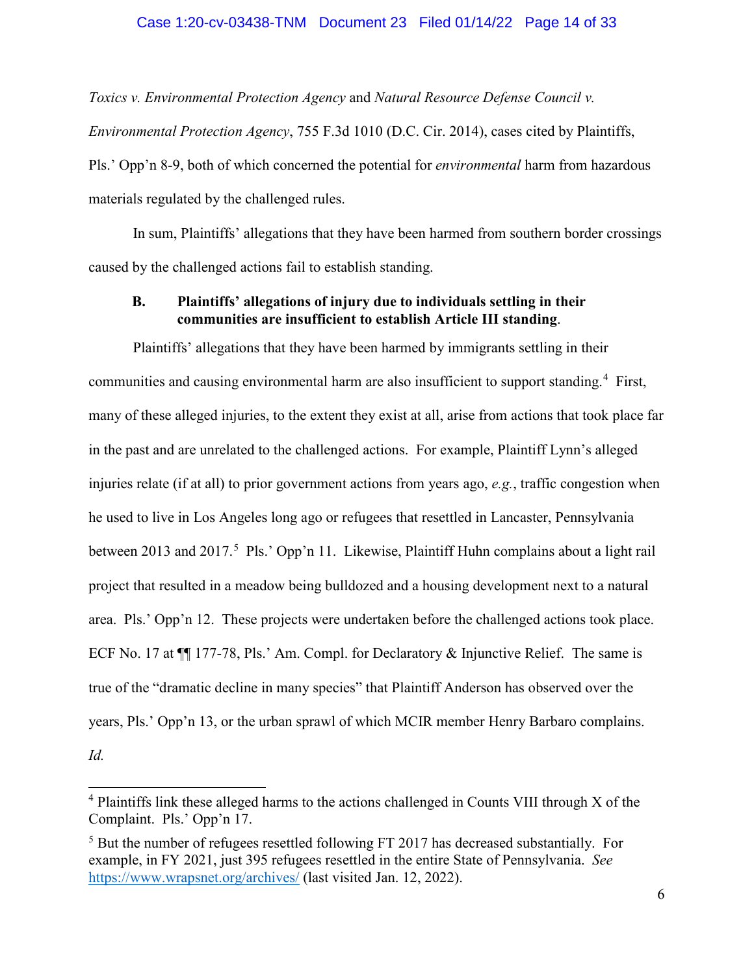### Case 1:20-cv-03438-TNM Document 23 Filed 01/14/22 Page 14 of 33

*Toxics v. Environmental Protection Agency* and *Natural Resource Defense Council v.* 

*Environmental Protection Agency*, 755 F.3d 1010 (D.C. Cir. 2014), cases cited by Plaintiffs, Pls.' Opp'n 8-9, both of which concerned the potential for *environmental* harm from hazardous materials regulated by the challenged rules.

In sum, Plaintiffs' allegations that they have been harmed from southern border crossings caused by the challenged actions fail to establish standing.

## **B. Plaintiffs' allegations of injury due to individuals settling in their communities are insufficient to establish Article III standing**.

Plaintiffs' allegations that they have been harmed by immigrants settling in their communities and causing environmental harm are also insufficient to support standing.<sup>[4](#page-13-0)</sup> First, many of these alleged injuries, to the extent they exist at all, arise from actions that took place far in the past and are unrelated to the challenged actions. For example, Plaintiff Lynn's alleged injuries relate (if at all) to prior government actions from years ago, *e.g.*, traffic congestion when he used to live in Los Angeles long ago or refugees that resettled in Lancaster, Pennsylvania between 2013 and 2017.<sup>[5](#page-13-1)</sup> Pls.' Opp'n 11. Likewise, Plaintiff Huhn complains about a light rail project that resulted in a meadow being bulldozed and a housing development next to a natural area. Pls.' Opp'n 12. These projects were undertaken before the challenged actions took place. ECF No. 17 at  $\P$  177-78, Pls.' Am. Compl. for Declaratory & Injunctive Relief. The same is true of the "dramatic decline in many species" that Plaintiff Anderson has observed over the years, Pls.' Opp'n 13, or the urban sprawl of which MCIR member Henry Barbaro complains. *Id.*

t

<span id="page-13-0"></span> $4$  Plaintiffs link these alleged harms to the actions challenged in Counts VIII through X of the Complaint. Pls.' Opp'n 17.

<span id="page-13-1"></span><sup>&</sup>lt;sup>5</sup> But the number of refugees resettled following FT 2017 has decreased substantially. For example, in FY 2021, just 395 refugees resettled in the entire State of Pennsylvania. *See*  <https://www.wrapsnet.org/archives/> (last visited Jan. 12, 2022).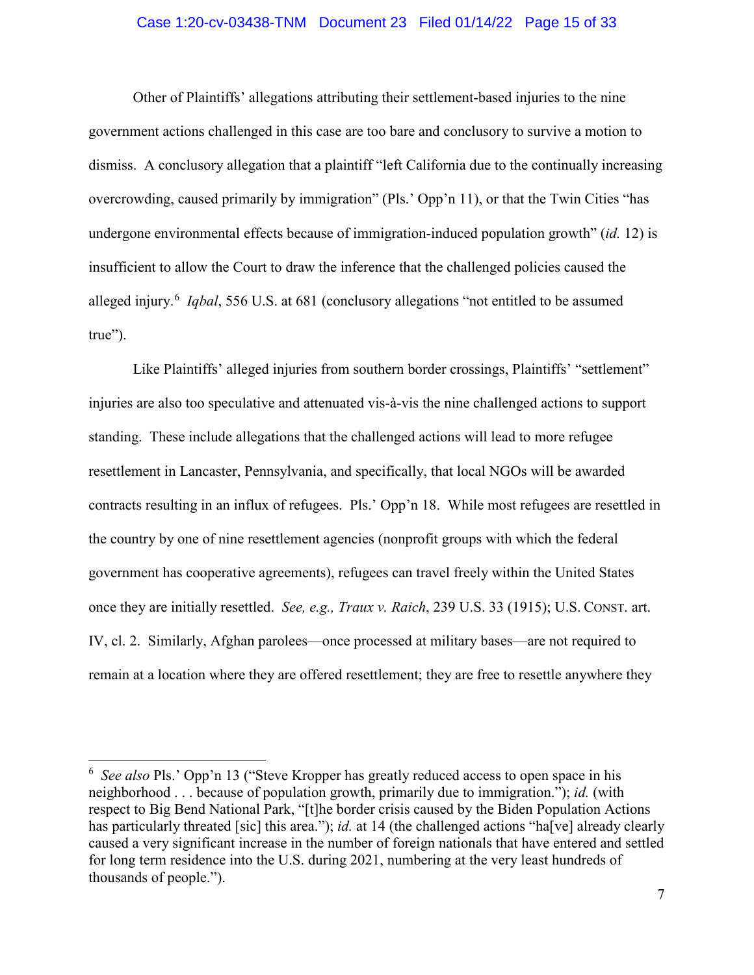### Case 1:20-cv-03438-TNM Document 23 Filed 01/14/22 Page 15 of 33

Other of Plaintiffs' allegations attributing their settlement-based injuries to the nine government actions challenged in this case are too bare and conclusory to survive a motion to dismiss. A conclusory allegation that a plaintiff "left California due to the continually increasing overcrowding, caused primarily by immigration" (Pls.' Opp'n 11), or that the Twin Cities "has undergone environmental effects because of immigration-induced population growth" (*id.* 12) is insufficient to allow the Court to draw the inference that the challenged policies caused the alleged injury.<sup>[6](#page-14-0)</sup> *Iqbal*, 556 U.S. at 681 (conclusory allegations "not entitled to be assumed true").

Like Plaintiffs' alleged injuries from southern border crossings, Plaintiffs' "settlement" injuries are also too speculative and attenuated vis-à-vis the nine challenged actions to support standing. These include allegations that the challenged actions will lead to more refugee resettlement in Lancaster, Pennsylvania, and specifically, that local NGOs will be awarded contracts resulting in an influx of refugees. Pls.' Opp'n 18. While most refugees are resettled in the country by one of nine resettlement agencies (nonprofit groups with which the federal government has cooperative agreements), refugees can travel freely within the United States once they are initially resettled. *See, e.g., Traux v. Raich*, 239 U.S. 33 (1915); U.S. CONST. art. IV, cl. 2. Similarly, Afghan parolees—once processed at military bases—are not required to remain at a location where they are offered resettlement; they are free to resettle anywhere they

<span id="page-14-0"></span><sup>6</sup> *See also* Pls.' Opp'n 13 ("Steve Kropper has greatly reduced access to open space in his neighborhood . . . because of population growth, primarily due to immigration."); *id.* (with respect to Big Bend National Park, "[t]he border crisis caused by the Biden Population Actions has particularly threated [sic] this area."); *id.* at 14 (the challenged actions "ha<sup>[</sup>ve] already clearly caused a very significant increase in the number of foreign nationals that have entered and settled for long term residence into the U.S. during 2021, numbering at the very least hundreds of thousands of people.").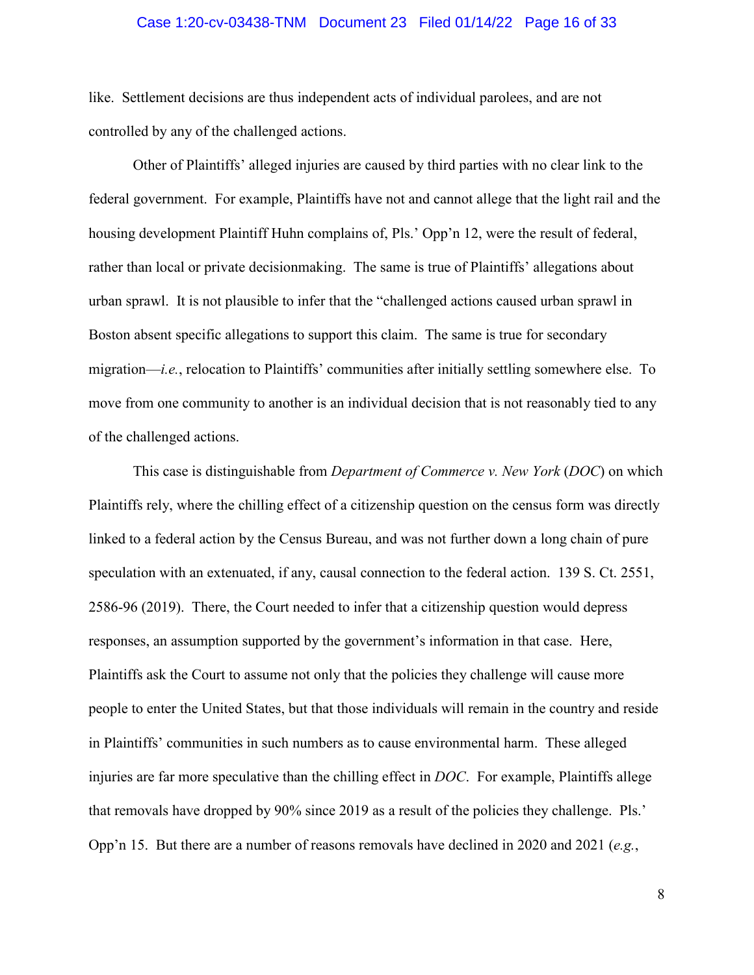### Case 1:20-cv-03438-TNM Document 23 Filed 01/14/22 Page 16 of 33

like. Settlement decisions are thus independent acts of individual parolees, and are not controlled by any of the challenged actions.

Other of Plaintiffs' alleged injuries are caused by third parties with no clear link to the federal government. For example, Plaintiffs have not and cannot allege that the light rail and the housing development Plaintiff Huhn complains of, Pls.' Opp'n 12, were the result of federal, rather than local or private decisionmaking. The same is true of Plaintiffs' allegations about urban sprawl. It is not plausible to infer that the "challenged actions caused urban sprawl in Boston absent specific allegations to support this claim. The same is true for secondary migration—*i.e.*, relocation to Plaintiffs' communities after initially settling somewhere else. To move from one community to another is an individual decision that is not reasonably tied to any of the challenged actions.

This case is distinguishable from *Department of Commerce v. New York* (*DOC*) on which Plaintiffs rely, where the chilling effect of a citizenship question on the census form was directly linked to a federal action by the Census Bureau, and was not further down a long chain of pure speculation with an extenuated, if any, causal connection to the federal action. 139 S. Ct. 2551, 2586-96 (2019). There, the Court needed to infer that a citizenship question would depress responses, an assumption supported by the government's information in that case. Here, Plaintiffs ask the Court to assume not only that the policies they challenge will cause more people to enter the United States, but that those individuals will remain in the country and reside in Plaintiffs' communities in such numbers as to cause environmental harm. These alleged injuries are far more speculative than the chilling effect in *DOC*. For example, Plaintiffs allege that removals have dropped by 90% since 2019 as a result of the policies they challenge. Pls.' Opp'n 15. But there are a number of reasons removals have declined in 2020 and 2021 (*e.g.*,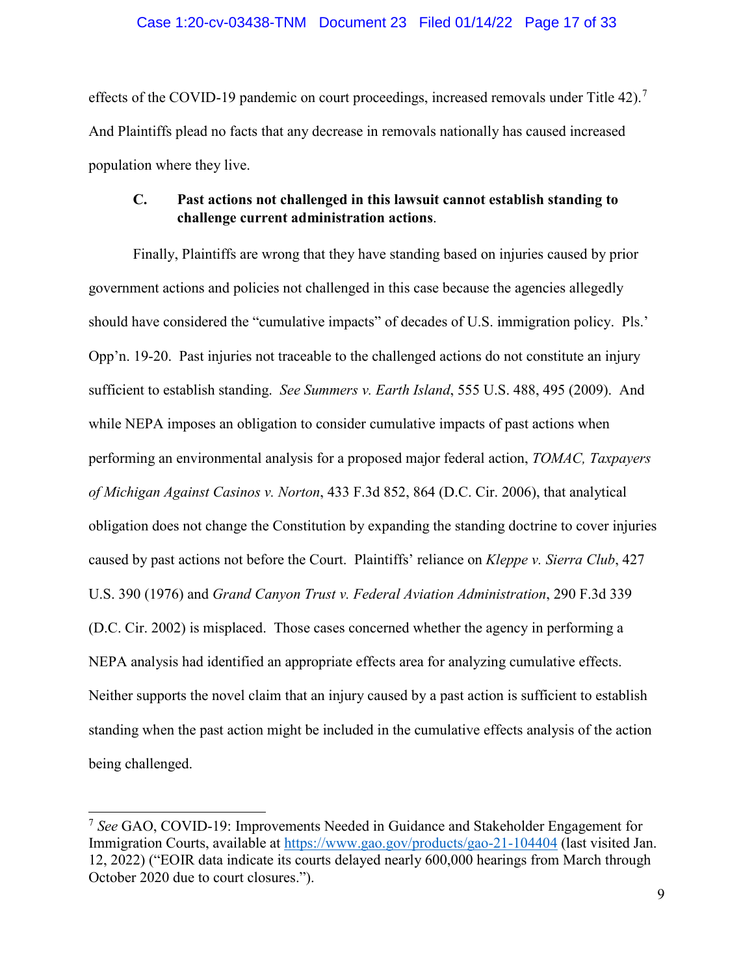### Case 1:20-cv-03438-TNM Document 23 Filed 01/14/22 Page 17 of 33

effects of the COVID-19 pandemic on court proceedings, increased removals under Title 42).<sup>[7](#page-16-0)</sup> And Plaintiffs plead no facts that any decrease in removals nationally has caused increased population where they live.

## **C. Past actions not challenged in this lawsuit cannot establish standing to challenge current administration actions**.

Finally, Plaintiffs are wrong that they have standing based on injuries caused by prior government actions and policies not challenged in this case because the agencies allegedly should have considered the "cumulative impacts" of decades of U.S. immigration policy. Pls.' Opp'n. 19-20. Past injuries not traceable to the challenged actions do not constitute an injury sufficient to establish standing. *See Summers v. Earth Island*, 555 U.S. 488, 495 (2009). And while NEPA imposes an obligation to consider cumulative impacts of past actions when performing an environmental analysis for a proposed major federal action, *TOMAC, Taxpayers of Michigan Against Casinos v. Norton*, 433 F.3d 852, 864 (D.C. Cir. 2006), that analytical obligation does not change the Constitution by expanding the standing doctrine to cover injuries caused by past actions not before the Court. Plaintiffs' reliance on *Kleppe v. Sierra Club*, 427 U.S. 390 (1976) and *Grand Canyon Trust v. Federal Aviation Administration*, 290 F.3d 339 (D.C. Cir. 2002) is misplaced. Those cases concerned whether the agency in performing a NEPA analysis had identified an appropriate effects area for analyzing cumulative effects. Neither supports the novel claim that an injury caused by a past action is sufficient to establish standing when the past action might be included in the cumulative effects analysis of the action being challenged.

Ė

<span id="page-16-0"></span><sup>7</sup> *See* GAO, COVID-19: Improvements Needed in Guidance and Stakeholder Engagement for Immigration Courts, available at<https://www.gao.gov/products/gao-21-104404> (last visited Jan. 12, 2022) ("EOIR data indicate its courts delayed nearly 600,000 hearings from March through October 2020 due to court closures.").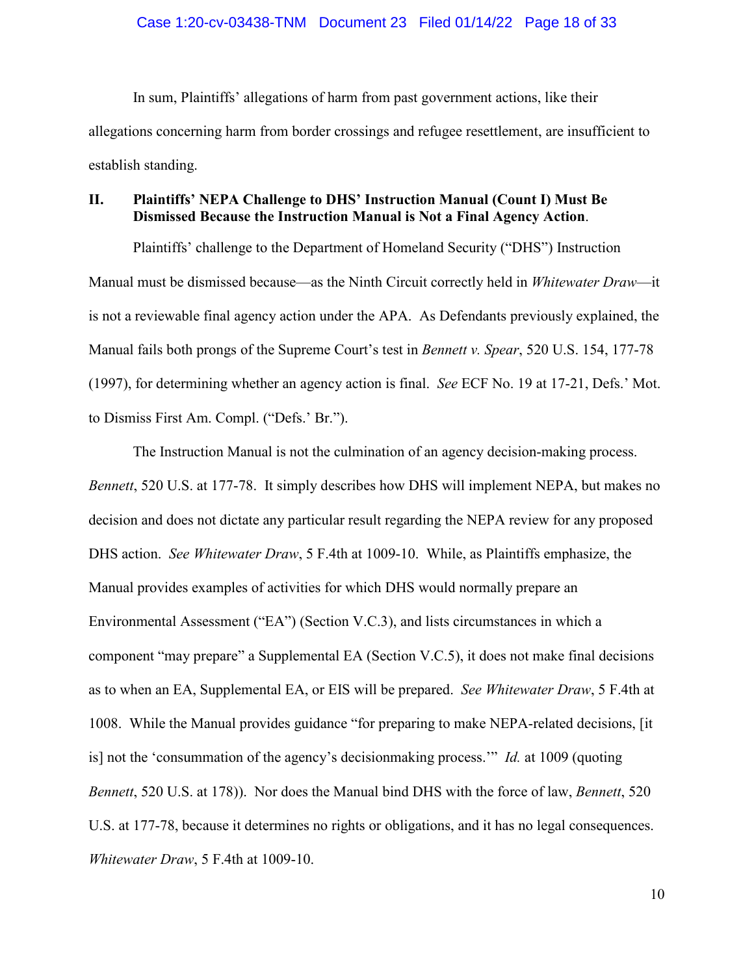In sum, Plaintiffs' allegations of harm from past government actions, like their allegations concerning harm from border crossings and refugee resettlement, are insufficient to establish standing.

## **II. Plaintiffs' NEPA Challenge to DHS' Instruction Manual (Count I) Must Be Dismissed Because the Instruction Manual is Not a Final Agency Action**.

Plaintiffs' challenge to the Department of Homeland Security ("DHS") Instruction Manual must be dismissed because—as the Ninth Circuit correctly held in *Whitewater Draw*—it is not a reviewable final agency action under the APA. As Defendants previously explained, the Manual fails both prongs of the Supreme Court's test in *Bennett v. Spear*, 520 U.S. 154, 177-78 (1997), for determining whether an agency action is final. *See* ECF No. 19 at 17-21, Defs.' Mot. to Dismiss First Am. Compl. ("Defs.' Br.").

The Instruction Manual is not the culmination of an agency decision-making process. *Bennett*, 520 U.S. at 177-78. It simply describes how DHS will implement NEPA, but makes no decision and does not dictate any particular result regarding the NEPA review for any proposed DHS action. *See Whitewater Draw*, 5 F.4th at 1009-10. While, as Plaintiffs emphasize, the Manual provides examples of activities for which DHS would normally prepare an Environmental Assessment ("EA") (Section V.C.3), and lists circumstances in which a component "may prepare" a Supplemental EA (Section V.C.5), it does not make final decisions as to when an EA, Supplemental EA, or EIS will be prepared. *See Whitewater Draw*, 5 F.4th at 1008. While the Manual provides guidance "for preparing to make NEPA-related decisions, [it is] not the 'consummation of the agency's decisionmaking process.'" *Id.* at 1009 (quoting *Bennett*, 520 U.S. at 178)). Nor does the Manual bind DHS with the force of law, *Bennett*, 520 U.S. at 177-78, because it determines no rights or obligations, and it has no legal consequences. *Whitewater Draw*, 5 F.4th at 1009-10.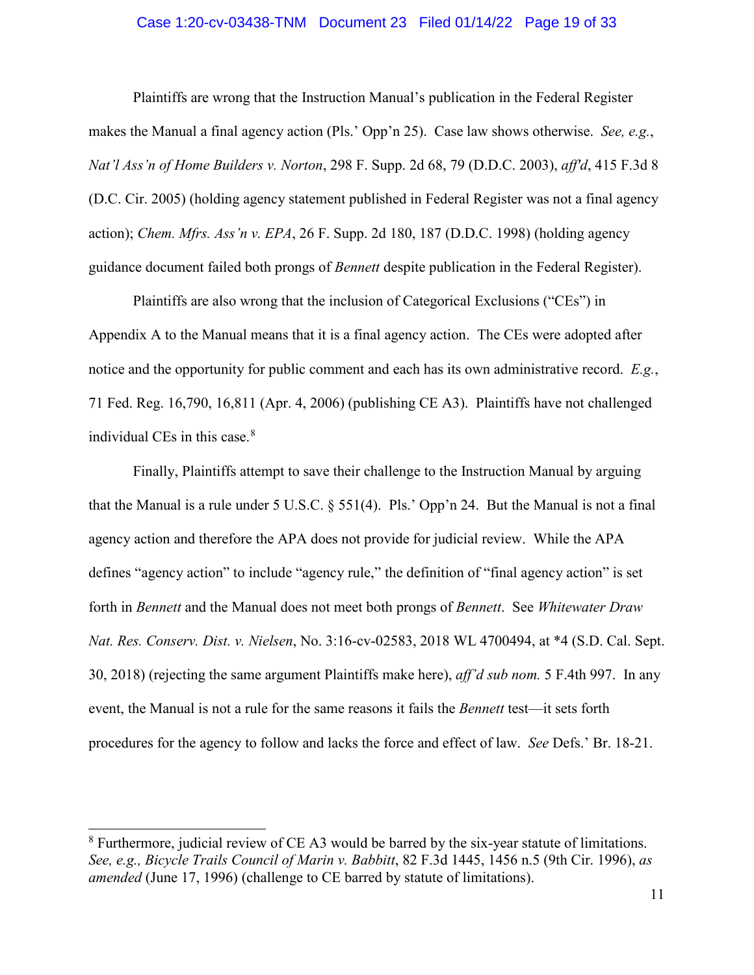### Case 1:20-cv-03438-TNM Document 23 Filed 01/14/22 Page 19 of 33

Plaintiffs are wrong that the Instruction Manual's publication in the Federal Register makes the Manual a final agency action (Pls.' Opp'n 25). Case law shows otherwise. *See, e.g.*, *Nat'l Ass'n of Home Builders v. Norton*, 298 F. Supp. 2d 68, 79 (D.D.C. 2003), *aff'd*, 415 F.3d 8 (D.C. Cir. 2005) (holding agency statement published in Federal Register was not a final agency action); *Chem. Mfrs. Ass'n v. EPA*, 26 F. Supp. 2d 180, 187 (D.D.C. 1998) (holding agency guidance document failed both prongs of *Bennett* despite publication in the Federal Register).

Plaintiffs are also wrong that the inclusion of Categorical Exclusions ("CEs") in Appendix A to the Manual means that it is a final agency action. The CEs were adopted after notice and the opportunity for public comment and each has its own administrative record. *E.g.*, 71 Fed. Reg. 16,790, 16,811 (Apr. 4, 2006) (publishing CE A3). Plaintiffs have not challenged individual CEs in this case.<sup>[8](#page-18-0)</sup>

Finally, Plaintiffs attempt to save their challenge to the Instruction Manual by arguing that the Manual is a rule under 5 U.S.C. § 551(4). Pls.' Opp'n 24. But the Manual is not a final agency action and therefore the APA does not provide for judicial review. While the APA defines "agency action" to include "agency rule," the definition of "final agency action" is set forth in *Bennett* and the Manual does not meet both prongs of *Bennett*. See *Whitewater Draw Nat. Res. Conserv. Dist. v. Nielsen*, No. 3:16-cv-02583, 2018 WL 4700494, at \*4 (S.D. Cal. Sept. 30, 2018) (rejecting the same argument Plaintiffs make here), *aff'd sub nom.* 5 F.4th 997. In any event, the Manual is not a rule for the same reasons it fails the *Bennett* test—it sets forth procedures for the agency to follow and lacks the force and effect of law. *See* Defs.' Br. 18-21.

<span id="page-18-0"></span> $8$  Furthermore, judicial review of CE A3 would be barred by the six-year statute of limitations. *See, e.g., Bicycle Trails Council of Marin v. Babbitt*, 82 F.3d 1445, 1456 n.5 (9th Cir. 1996), *as amended* (June 17, 1996) (challenge to CE barred by statute of limitations).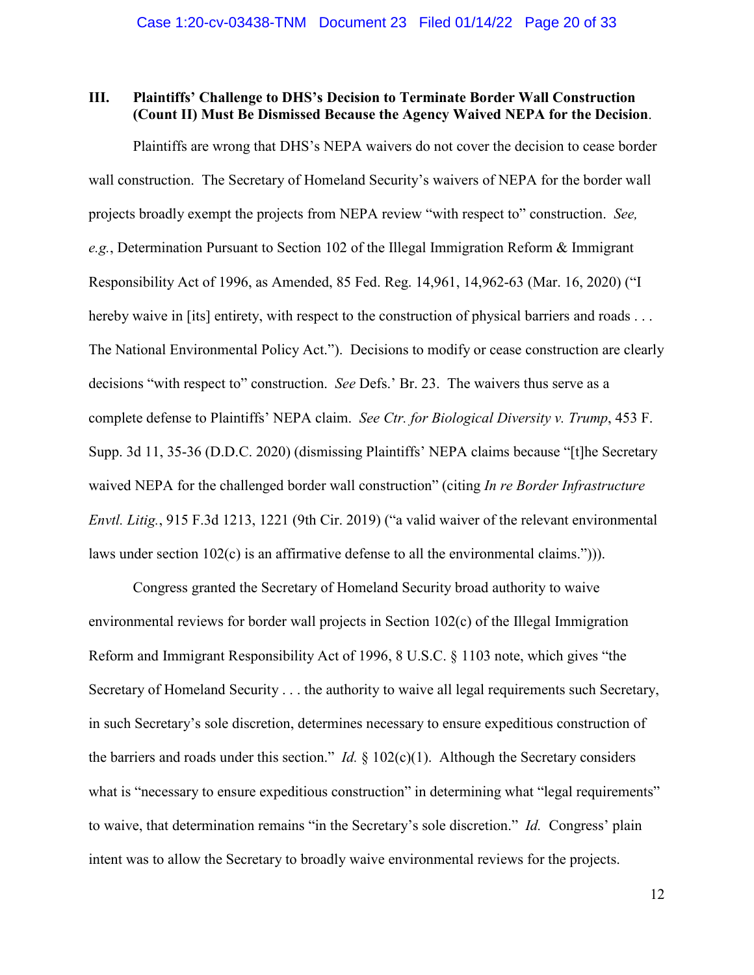## **III. Plaintiffs' Challenge to DHS's Decision to Terminate Border Wall Construction (Count II) Must Be Dismissed Because the Agency Waived NEPA for the Decision**.

Plaintiffs are wrong that DHS's NEPA waivers do not cover the decision to cease border wall construction. The Secretary of Homeland Security's waivers of NEPA for the border wall projects broadly exempt the projects from NEPA review "with respect to" construction. *See, e.g.*, Determination Pursuant to Section 102 of the Illegal Immigration Reform & Immigrant Responsibility Act of 1996, as Amended, 85 Fed. Reg. 14,961, 14,962-63 (Mar. 16, 2020) ("I hereby waive in [its] entirety, with respect to the construction of physical barriers and roads . . . The National Environmental Policy Act."). Decisions to modify or cease construction are clearly decisions "with respect to" construction. *See* Defs.' Br. 23. The waivers thus serve as a complete defense to Plaintiffs' NEPA claim. *See Ctr. for Biological Diversity v. Trump*, 453 F. Supp. 3d 11, 35-36 (D.D.C. 2020) (dismissing Plaintiffs' NEPA claims because "[t]he Secretary waived NEPA for the challenged border wall construction" (citing *In re Border Infrastructure Envtl. Litig.*, 915 F.3d 1213, 1221 (9th Cir. 2019) ("a valid waiver of the relevant environmental laws under section 102(c) is an affirmative defense to all the environmental claims."))).

Congress granted the Secretary of Homeland Security broad authority to waive environmental reviews for border wall projects in Section 102(c) of the Illegal Immigration Reform and Immigrant Responsibility Act of 1996, 8 U.S.C. § 1103 note, which gives "the Secretary of Homeland Security . . . the authority to waive all legal requirements such Secretary, in such Secretary's sole discretion, determines necessary to ensure expeditious construction of the barriers and roads under this section." *Id.* § 102(c)(1). Although the Secretary considers what is "necessary to ensure expeditious construction" in determining what "legal requirements" to waive, that determination remains "in the Secretary's sole discretion." *Id.* Congress' plain intent was to allow the Secretary to broadly waive environmental reviews for the projects.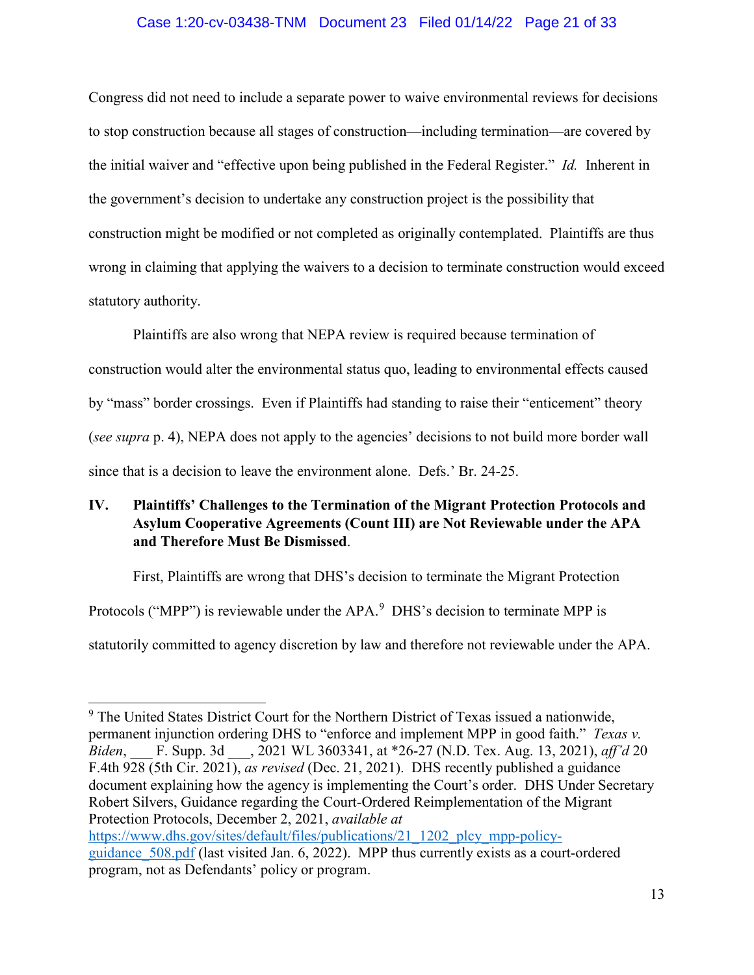## Case 1:20-cv-03438-TNM Document 23 Filed 01/14/22 Page 21 of 33

Congress did not need to include a separate power to waive environmental reviews for decisions to stop construction because all stages of construction—including termination—are covered by the initial waiver and "effective upon being published in the Federal Register." *Id.* Inherent in the government's decision to undertake any construction project is the possibility that construction might be modified or not completed as originally contemplated. Plaintiffs are thus wrong in claiming that applying the waivers to a decision to terminate construction would exceed statutory authority.

Plaintiffs are also wrong that NEPA review is required because termination of construction would alter the environmental status quo, leading to environmental effects caused by "mass" border crossings. Even if Plaintiffs had standing to raise their "enticement" theory (*see supra* p. 4), NEPA does not apply to the agencies' decisions to not build more border wall since that is a decision to leave the environment alone. Defs.' Br. 24-25.

## **IV. Plaintiffs' Challenges to the Termination of the Migrant Protection Protocols and Asylum Cooperative Agreements (Count III) are Not Reviewable under the APA and Therefore Must Be Dismissed**.

First, Plaintiffs are wrong that DHS's decision to terminate the Migrant Protection Protocols ("MPP") is reviewable under the APA.<sup>[9](#page-20-0)</sup> DHS's decision to terminate MPP is statutorily committed to agency discretion by law and therefore not reviewable under the APA.

<span id="page-20-0"></span>Ξ  $9$  The United States District Court for the Northern District of Texas issued a nationwide, permanent injunction ordering DHS to "enforce and implement MPP in good faith." *Texas v. Biden*, \_\_\_ F. Supp. 3d \_\_\_, 2021 WL 3603341, at \*26-27 (N.D. Tex. Aug. 13, 2021), *aff'd* 20 F.4th 928 (5th Cir. 2021), *as revised* (Dec. 21, 2021). DHS recently published a guidance document explaining how the agency is implementing the Court's order. DHS Under Secretary Robert Silvers, Guidance regarding the Court-Ordered Reimplementation of the Migrant Protection Protocols, December 2, 2021, *available at* [https://www.dhs.gov/sites/default/files/publications/21\\_1202\\_plcy\\_mpp-policy](https://www.dhs.gov/sites/default/files/publications/21_1202_plcy_mpp-policy-guidance_508.pdf)guidance 508.pdf (last visited Jan. 6, 2022). MPP thus currently exists as a court-ordered program, not as Defendants' policy or program.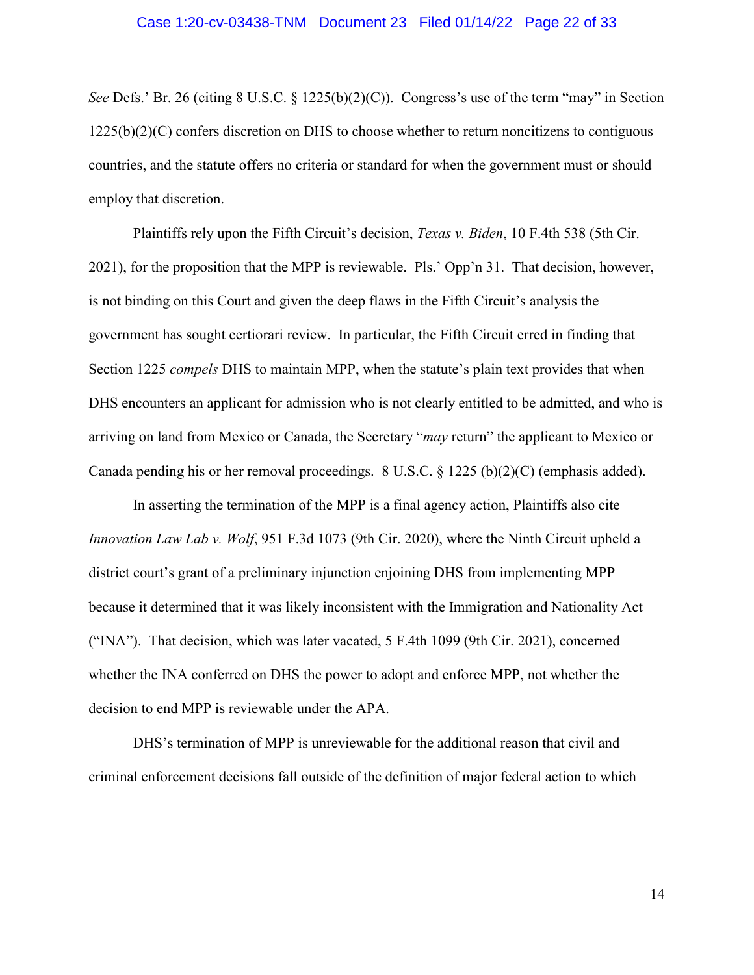#### Case 1:20-cv-03438-TNM Document 23 Filed 01/14/22 Page 22 of 33

*See* Defs.' Br. 26 (citing 8 U.S.C. § 1225(b)(2)(C)). Congress's use of the term "may" in Section 1225(b)(2)(C) confers discretion on DHS to choose whether to return noncitizens to contiguous countries, and the statute offers no criteria or standard for when the government must or should employ that discretion.

Plaintiffs rely upon the Fifth Circuit's decision, *Texas v. Biden*, 10 F.4th 538 (5th Cir. 2021), for the proposition that the MPP is reviewable. Pls.' Opp'n 31. That decision, however, is not binding on this Court and given the deep flaws in the Fifth Circuit's analysis the government has sought certiorari review. In particular, the Fifth Circuit erred in finding that Section 1225 *compels* DHS to maintain MPP, when the statute's plain text provides that when DHS encounters an applicant for admission who is not clearly entitled to be admitted, and who is arriving on land from Mexico or Canada, the Secretary "*may* return" the applicant to Mexico or Canada pending his or her removal proceedings. 8 U.S.C. § 1225 (b)(2)(C) (emphasis added).

In asserting the termination of the MPP is a final agency action, Plaintiffs also cite *Innovation Law Lab v. Wolf*, 951 F.3d 1073 (9th Cir. 2020), where the Ninth Circuit upheld a district court's grant of a preliminary injunction enjoining DHS from implementing MPP because it determined that it was likely inconsistent with the Immigration and Nationality Act ("INA"). That decision, which was later vacated, 5 F.4th 1099 (9th Cir. 2021), concerned whether the INA conferred on DHS the power to adopt and enforce MPP, not whether the decision to end MPP is reviewable under the APA.

DHS's termination of MPP is unreviewable for the additional reason that civil and criminal enforcement decisions fall outside of the definition of major federal action to which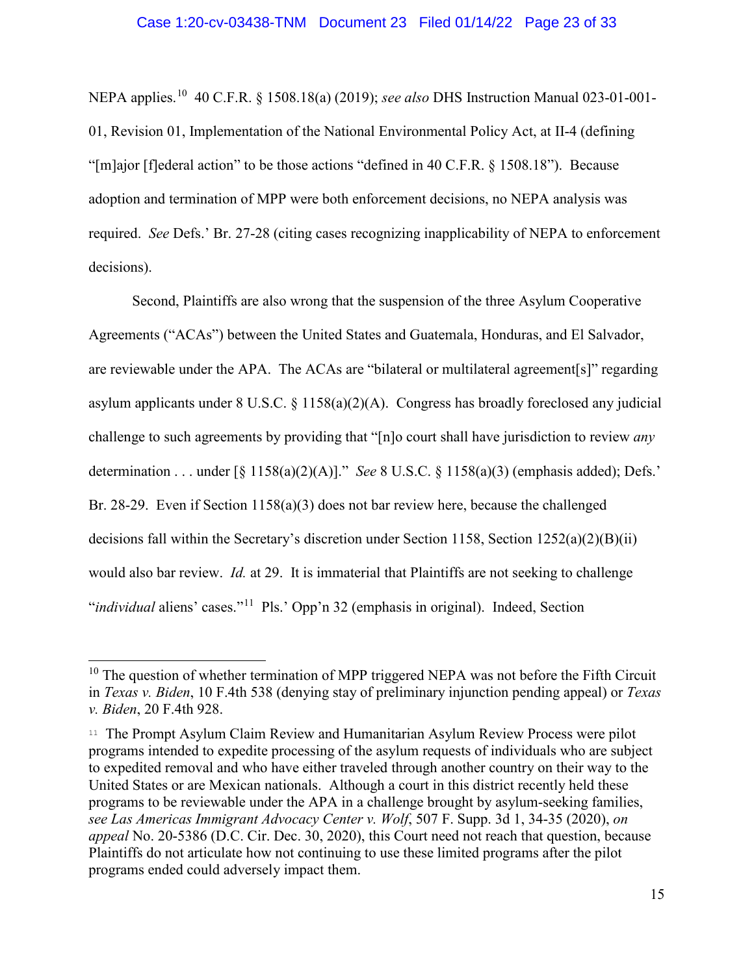NEPA applies. [10](#page-22-0) 40 C.F.R. § 1508.18(a) (2019); *see also* DHS Instruction Manual 023-01-001- 01, Revision 01, Implementation of the National Environmental Policy Act, at II-4 (defining "[m]ajor [f]ederal action" to be those actions "defined in 40 C.F.R. § 1508.18"). Because adoption and termination of MPP were both enforcement decisions, no NEPA analysis was required. *See* Defs.' Br. 27-28 (citing cases recognizing inapplicability of NEPA to enforcement decisions).

Second, Plaintiffs are also wrong that the suspension of the three Asylum Cooperative Agreements ("ACAs") between the United States and Guatemala, Honduras, and El Salvador, are reviewable under the APA. The ACAs are "bilateral or multilateral agreement[s]" regarding asylum applicants under 8 U.S.C. § 1158(a)(2)(A). Congress has broadly foreclosed any judicial challenge to such agreements by providing that "[n]o court shall have jurisdiction to review *any* determination . . . under [§ 1158(a)(2)(A)]." *See* 8 U.S.C. § 1158(a)(3) (emphasis added); Defs.' Br. 28-29. Even if Section 1158(a)(3) does not bar review here, because the challenged decisions fall within the Secretary's discretion under Section 1158, Section 1252(a)(2)(B)(ii) would also bar review. *Id.* at 29. It is immaterial that Plaintiffs are not seeking to challenge "*individual* aliens' cases."[11](#page-22-1) Pls.' Opp'n 32 (emphasis in original). Indeed, Section

<span id="page-22-0"></span> $10$  The question of whether termination of MPP triggered NEPA was not before the Fifth Circuit in *Texas v. Biden*, 10 F.4th 538 (denying stay of preliminary injunction pending appeal) or *Texas v. Biden*, 20 F.4th 928.

<span id="page-22-1"></span><sup>11</sup> The Prompt Asylum Claim Review and Humanitarian Asylum Review Process were pilot programs intended to expedite processing of the asylum requests of individuals who are subject to expedited removal and who have either traveled through another country on their way to the United States or are Mexican nationals. Although a court in this district recently held these programs to be reviewable under the APA in a challenge brought by asylum-seeking families, *see Las Americas Immigrant Advocacy Center v. Wolf*, 507 F. Supp. 3d 1, 34-35 (2020), *on appeal* No. 20-5386 (D.C. Cir. Dec. 30, 2020), this Court need not reach that question, because Plaintiffs do not articulate how not continuing to use these limited programs after the pilot programs ended could adversely impact them.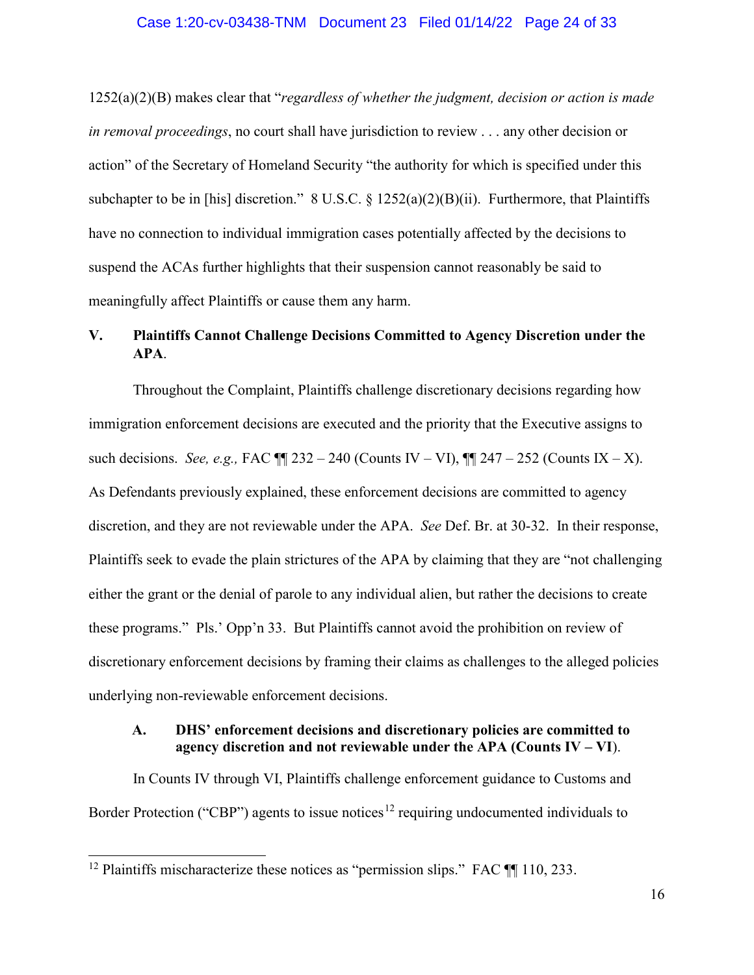#### Case 1:20-cv-03438-TNM Document 23 Filed 01/14/22 Page 24 of 33

1252(a)(2)(B) makes clear that "*regardless of whether the judgment, decision or action is made in removal proceedings*, no court shall have jurisdiction to review . . . any other decision or action" of the Secretary of Homeland Security "the authority for which is specified under this subchapter to be in [his] discretion." 8 U.S.C.  $\S$  1252(a)(2)(B)(ii). Furthermore, that Plaintiffs have no connection to individual immigration cases potentially affected by the decisions to suspend the ACAs further highlights that their suspension cannot reasonably be said to meaningfully affect Plaintiffs or cause them any harm.

## **V. Plaintiffs Cannot Challenge Decisions Committed to Agency Discretion under the APA**.

Throughout the Complaint, Plaintiffs challenge discretionary decisions regarding how immigration enforcement decisions are executed and the priority that the Executive assigns to such decisions. *See, e.g.,* FAC ¶¶ 232 – 240 (Counts IV – VI), ¶¶ 247 – 252 (Counts IX – X). As Defendants previously explained, these enforcement decisions are committed to agency discretion, and they are not reviewable under the APA. *See* Def. Br. at 30-32. In their response, Plaintiffs seek to evade the plain strictures of the APA by claiming that they are "not challenging either the grant or the denial of parole to any individual alien, but rather the decisions to create these programs." Pls.' Opp'n 33. But Plaintiffs cannot avoid the prohibition on review of discretionary enforcement decisions by framing their claims as challenges to the alleged policies underlying non-reviewable enforcement decisions.

## **A. DHS' enforcement decisions and discretionary policies are committed to agency discretion and not reviewable under the APA (Counts IV – VI**).

In Counts IV through VI, Plaintiffs challenge enforcement guidance to Customs and Border Protection ("CBP") agents to issue notices<sup>[12](#page-23-0)</sup> requiring undocumented individuals to

<span id="page-23-0"></span><sup>&</sup>lt;sup>12</sup> Plaintiffs mischaracterize these notices as "permission slips." FAC  $\P$  110, 233.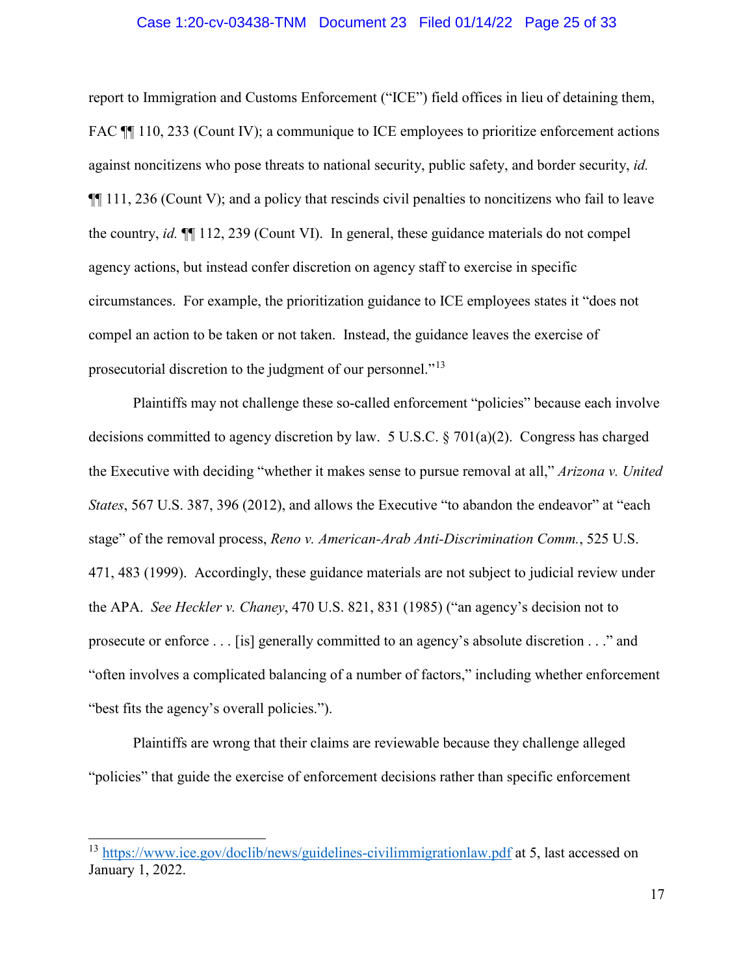#### Case 1:20-cv-03438-TNM Document 23 Filed 01/14/22 Page 25 of 33

report to Immigration and Customs Enforcement ("ICE") field offices in lieu of detaining them, FAC  $\P$  110, 233 (Count IV); a communique to ICE employees to prioritize enforcement actions against noncitizens who pose threats to national security, public safety, and border security, *id.*   $\P$ [[111, 236 (Count V); and a policy that rescinds civil penalties to noncitizens who fail to leave the country, *id.* ¶¶ 112, 239 (Count VI). In general, these guidance materials do not compel agency actions, but instead confer discretion on agency staff to exercise in specific circumstances. For example, the prioritization guidance to ICE employees states it "does not compel an action to be taken or not taken. Instead, the guidance leaves the exercise of prosecutorial discretion to the judgment of our personnel."[13](#page-24-0) 

Plaintiffs may not challenge these so-called enforcement "policies" because each involve decisions committed to agency discretion by law. 5 U.S.C. § 701(a)(2). Congress has charged the Executive with deciding "whether it makes sense to pursue removal at all," *Arizona v. United States*, 567 U.S. 387, 396 (2012), and allows the Executive "to abandon the endeavor" at "each stage" of the removal process, *Reno v. American-Arab Anti-Discrimination Comm.*, 525 U.S. 471, 483 (1999). Accordingly, these guidance materials are not subject to judicial review under the APA. *See Heckler v. Chaney*, 470 U.S. 821, 831 (1985) ("an agency's decision not to prosecute or enforce . . . [is] generally committed to an agency's absolute discretion . . ." and "often involves a complicated balancing of a number of factors," including whether enforcement "best fits the agency's overall policies.").

Plaintiffs are wrong that their claims are reviewable because they challenge alleged "policies" that guide the exercise of enforcement decisions rather than specific enforcement

<span id="page-24-0"></span><sup>&</sup>lt;sup>13</sup> <https://www.ice.gov/doclib/news/guidelines-civilimmigrationlaw.pdf> at 5, last accessed on January 1, 2022.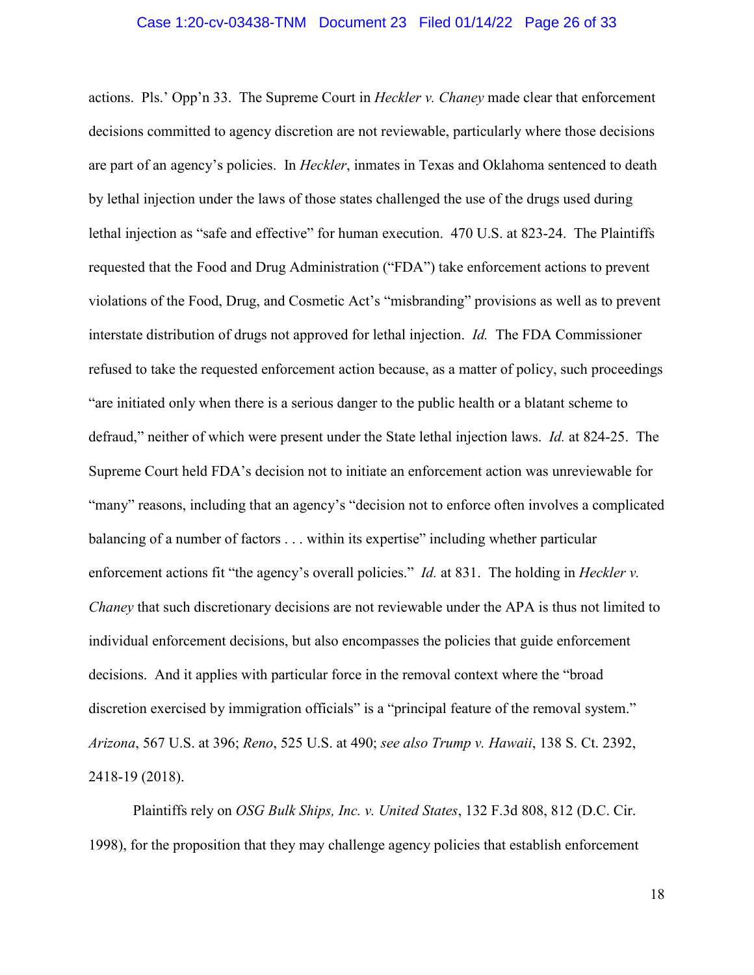actions. Pls.' Opp'n 33. The Supreme Court in *Heckler v. Chaney* made clear that enforcement decisions committed to agency discretion are not reviewable, particularly where those decisions are part of an agency's policies. In *Heckler*, inmates in Texas and Oklahoma sentenced to death by lethal injection under the laws of those states challenged the use of the drugs used during lethal injection as "safe and effective" for human execution. 470 U.S. at 823-24. The Plaintiffs requested that the Food and Drug Administration ("FDA") take enforcement actions to prevent violations of the Food, Drug, and Cosmetic Act's "misbranding" provisions as well as to prevent interstate distribution of drugs not approved for lethal injection. *Id.* The FDA Commissioner refused to take the requested enforcement action because, as a matter of policy, such proceedings "are initiated only when there is a serious danger to the public health or a blatant scheme to defraud," neither of which were present under the State lethal injection laws. *Id.* at 824-25. The Supreme Court held FDA's decision not to initiate an enforcement action was unreviewable for "many" reasons, including that an agency's "decision not to enforce often involves a complicated balancing of a number of factors . . . within its expertise" including whether particular enforcement actions fit "the agency's overall policies." *Id.* at 831. The holding in *Heckler v. Chaney* that such discretionary decisions are not reviewable under the APA is thus not limited to individual enforcement decisions, but also encompasses the policies that guide enforcement decisions. And it applies with particular force in the removal context where the "broad discretion exercised by immigration officials" is a "principal feature of the removal system." *Arizona*, 567 U.S. at 396; *Reno*, 525 U.S. at 490; *see also Trump v. Hawaii*, 138 S. Ct. 2392, 2418-19 (2018).

Plaintiffs rely on *OSG Bulk Ships, Inc. v. United States*, 132 F.3d 808, 812 (D.C. Cir. 1998), for the proposition that they may challenge agency policies that establish enforcement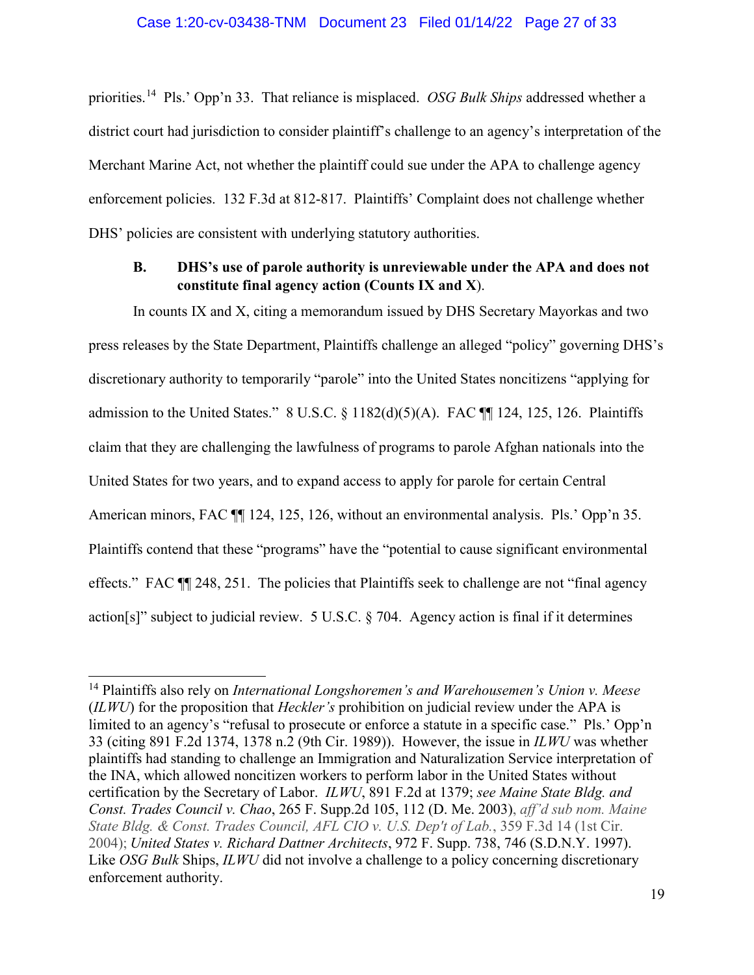priorities.[14](#page-26-0) Pls.' Opp'n 33. That reliance is misplaced. *OSG Bulk Ships* addressed whether a district court had jurisdiction to consider plaintiff's challenge to an agency's interpretation of the Merchant Marine Act, not whether the plaintiff could sue under the APA to challenge agency enforcement policies. 132 F.3d at 812-817. Plaintiffs' Complaint does not challenge whether DHS' policies are consistent with underlying statutory authorities.

## **B. DHS's use of parole authority is unreviewable under the APA and does not constitute final agency action (Counts IX and X**).

In counts IX and X, citing a memorandum issued by DHS Secretary Mayorkas and two press releases by the State Department, Plaintiffs challenge an alleged "policy" governing DHS's discretionary authority to temporarily "parole" into the United States noncitizens "applying for admission to the United States."  $8 \text{ U.S.C.} \$   $1182(d)(5)(A)$ . FAC  $\P\P$  124, 125, 126. Plaintiffs claim that they are challenging the lawfulness of programs to parole Afghan nationals into the United States for two years, and to expand access to apply for parole for certain Central American minors, FAC  $\P$  124, 125, 126, without an environmental analysis. Pls.' Opp'n 35. Plaintiffs contend that these "programs" have the "potential to cause significant environmental effects." FAC ¶¶ 248, 251. The policies that Plaintiffs seek to challenge are not "final agency action[s]" subject to judicial review. 5 U.S.C. § 704. Agency action is final if it determines

<span id="page-26-0"></span><sup>14</sup> Plaintiffs also rely on *International Longshoremen's and Warehousemen's Union v. Meese* (*ILWU*) for the proposition that *Heckler's* prohibition on judicial review under the APA is limited to an agency's "refusal to prosecute or enforce a statute in a specific case." Pls.' Opp'n 33 (citing 891 F.2d 1374, 1378 n.2 (9th Cir. 1989)). However, the issue in *ILWU* was whether plaintiffs had standing to challenge an Immigration and Naturalization Service interpretation of the INA, which allowed noncitizen workers to perform labor in the United States without certification by the Secretary of Labor. *ILWU*, 891 F.2d at 1379; *see Maine State Bldg. and Const. Trades Council v. Chao*, 265 F. Supp.2d 105, 112 (D. Me. 2003), *aff'd sub nom. Maine State Bldg. & Const. Trades Council, AFL CIO v. U.S. Dep't of Lab.*, 359 F.3d 14 (1st Cir. 2004); *United States v. Richard Dattner Architects*, 972 F. Supp. 738, 746 (S.D.N.Y. 1997). Like *OSG Bulk* Ships, *ILWU* did not involve a challenge to a policy concerning discretionary enforcement authority.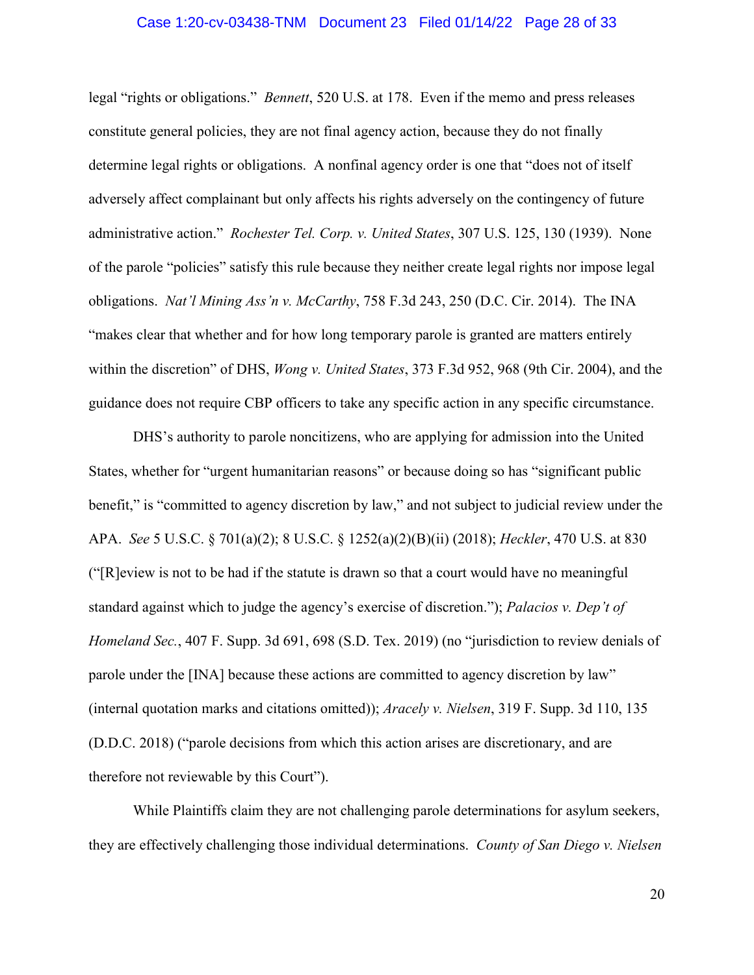#### Case 1:20-cv-03438-TNM Document 23 Filed 01/14/22 Page 28 of 33

legal "rights or obligations." *Bennett*, 520 U.S. at 178. Even if the memo and press releases constitute general policies, they are not final agency action, because they do not finally determine legal rights or obligations. A nonfinal agency order is one that "does not of itself adversely affect complainant but only affects his rights adversely on the contingency of future administrative action." *Rochester Tel. Corp. v. United States*, 307 U.S. 125, 130 (1939). None of the parole "policies" satisfy this rule because they neither create legal rights nor impose legal obligations. *Nat'l Mining Ass'n v. McCarthy*, 758 F.3d 243, 250 (D.C. Cir. 2014). The INA "makes clear that whether and for how long temporary parole is granted are matters entirely within the discretion" of DHS, *Wong v. United States*, 373 F.3d 952, 968 (9th Cir. 2004), and the guidance does not require CBP officers to take any specific action in any specific circumstance.

DHS's authority to parole noncitizens, who are applying for admission into the United States, whether for "urgent humanitarian reasons" or because doing so has "significant public benefit," is "committed to agency discretion by law," and not subject to judicial review under the APA. *See* 5 U.S.C. § 701(a)(2); 8 U.S.C. § 1252(a)(2)(B)(ii) (2018); *Heckler*, 470 U.S. at 830 ("[R]eview is not to be had if the statute is drawn so that a court would have no meaningful standard against which to judge the agency's exercise of discretion."); *Palacios v. Dep't of Homeland Sec.*, 407 F. Supp. 3d 691, 698 (S.D. Tex. 2019) (no "jurisdiction to review denials of parole under the [INA] because these actions are committed to agency discretion by law" (internal quotation marks and citations omitted)); *Aracely v. Nielsen*, 319 F. Supp. 3d 110, 135 (D.D.C. 2018) ("parole decisions from which this action arises are discretionary, and are therefore not reviewable by this Court").

While Plaintiffs claim they are not challenging parole determinations for asylum seekers, they are effectively challenging those individual determinations. *County of San Diego v. Nielsen*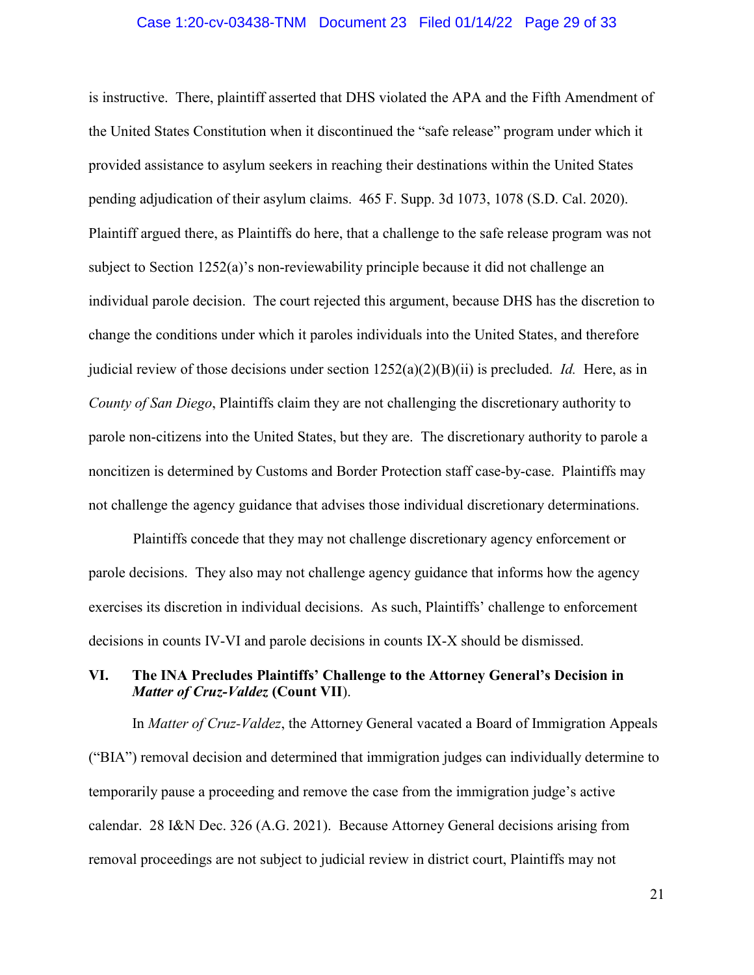#### Case 1:20-cv-03438-TNM Document 23 Filed 01/14/22 Page 29 of 33

is instructive. There, plaintiff asserted that DHS violated the APA and the Fifth Amendment of the United States Constitution when it discontinued the "safe release" program under which it provided assistance to asylum seekers in reaching their destinations within the United States pending adjudication of their asylum claims. 465 F. Supp. 3d 1073, 1078 (S.D. Cal. 2020). Plaintiff argued there, as Plaintiffs do here, that a challenge to the safe release program was not subject to Section 1252(a)'s non-reviewability principle because it did not challenge an individual parole decision. The court rejected this argument, because DHS has the discretion to change the conditions under which it paroles individuals into the United States, and therefore judicial review of those decisions under section 1252(a)(2)(B)(ii) is precluded. *Id.* Here, as in *County of San Diego*, Plaintiffs claim they are not challenging the discretionary authority to parole non-citizens into the United States, but they are. The discretionary authority to parole a noncitizen is determined by Customs and Border Protection staff case-by-case. Plaintiffs may not challenge the agency guidance that advises those individual discretionary determinations.

Plaintiffs concede that they may not challenge discretionary agency enforcement or parole decisions. They also may not challenge agency guidance that informs how the agency exercises its discretion in individual decisions. As such, Plaintiffs' challenge to enforcement decisions in counts IV-VI and parole decisions in counts IX-X should be dismissed.

## **VI. The INA Precludes Plaintiffs' Challenge to the Attorney General's Decision in**  *Matter of Cruz-Valdez* **(Count VII**).

In *Matter of Cruz-Valdez*, the Attorney General vacated a Board of Immigration Appeals ("BIA") removal decision and determined that immigration judges can individually determine to temporarily pause a proceeding and remove the case from the immigration judge's active calendar. 28 I&N Dec. 326 (A.G. 2021). Because Attorney General decisions arising from removal proceedings are not subject to judicial review in district court, Plaintiffs may not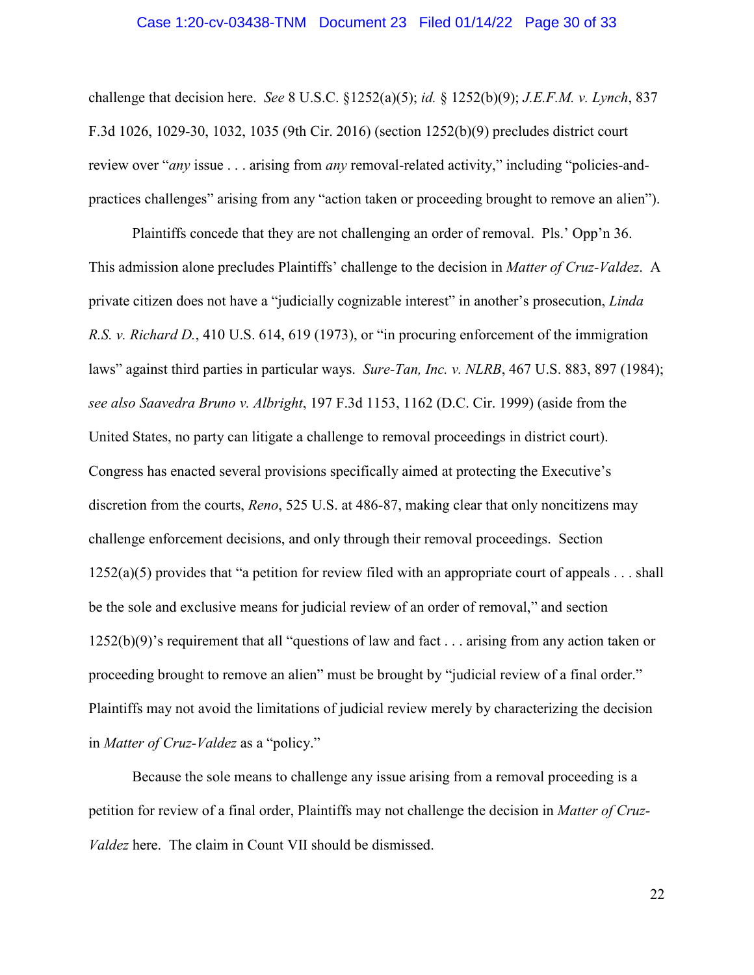#### Case 1:20-cv-03438-TNM Document 23 Filed 01/14/22 Page 30 of 33

challenge that decision here. *See* 8 U.S.C. §1252(a)(5); *id.* § 1252(b)(9); *J.E.F.M. v. Lynch*, 837 F.3d 1026, 1029-30, 1032, 1035 (9th Cir. 2016) (section 1252(b)(9) precludes district court review over "*any* issue . . . arising from *any* removal-related activity," including "policies-andpractices challenges" arising from any "action taken or proceeding brought to remove an alien").

Plaintiffs concede that they are not challenging an order of removal. Pls.' Opp'n 36. This admission alone precludes Plaintiffs' challenge to the decision in *Matter of Cruz-Valdez*. A private citizen does not have a "judicially cognizable interest" in another's prosecution, *Linda R.S. v. Richard D.*, 410 U.S. 614, 619 (1973), or "in procuring enforcement of the immigration laws" against third parties in particular ways. *Sure-Tan, Inc. v. NLRB*, 467 U.S. 883, 897 (1984); *see also Saavedra Bruno v. Albright*, 197 F.3d 1153, 1162 (D.C. Cir. 1999) (aside from the United States, no party can litigate a challenge to removal proceedings in district court). Congress has enacted several provisions specifically aimed at protecting the Executive's discretion from the courts, *Reno*, 525 U.S. at 486-87, making clear that only noncitizens may challenge enforcement decisions, and only through their removal proceedings. Section  $1252(a)(5)$  provides that "a petition for review filed with an appropriate court of appeals . . . shall be the sole and exclusive means for judicial review of an order of removal," and section 1252(b)(9)'s requirement that all "questions of law and fact . . . arising from any action taken or proceeding brought to remove an alien" must be brought by "judicial review of a final order." Plaintiffs may not avoid the limitations of judicial review merely by characterizing the decision in *Matter of Cruz-Valdez* as a "policy."

Because the sole means to challenge any issue arising from a removal proceeding is a petition for review of a final order, Plaintiffs may not challenge the decision in *Matter of Cruz-Valdez* here. The claim in Count VII should be dismissed.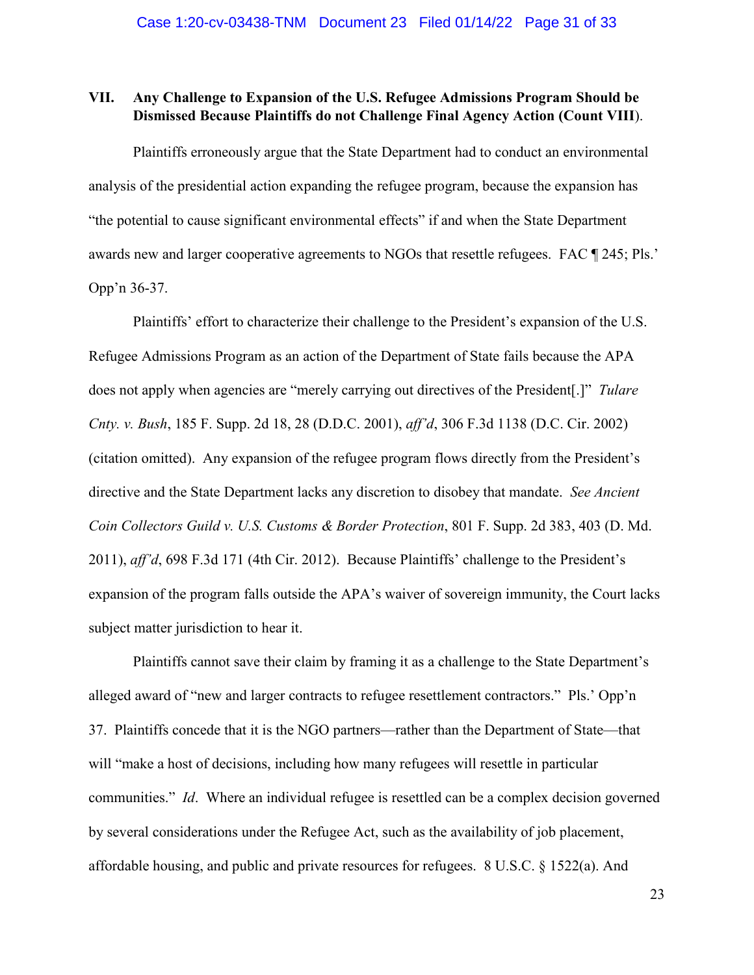## **VII. Any Challenge to Expansion of the U.S. Refugee Admissions Program Should be Dismissed Because Plaintiffs do not Challenge Final Agency Action (Count VIII**).

Plaintiffs erroneously argue that the State Department had to conduct an environmental analysis of the presidential action expanding the refugee program, because the expansion has "the potential to cause significant environmental effects" if and when the State Department awards new and larger cooperative agreements to NGOs that resettle refugees. FAC ¶ 245; Pls.' Opp'n 36-37.

Plaintiffs' effort to characterize their challenge to the President's expansion of the U.S. Refugee Admissions Program as an action of the Department of State fails because the APA does not apply when agencies are "merely carrying out directives of the President[.]" *Tulare Cnty. v. Bush*, 185 F. Supp. 2d 18, 28 (D.D.C. 2001), *aff'd*, 306 F.3d 1138 (D.C. Cir. 2002) (citation omitted). Any expansion of the refugee program flows directly from the President's directive and the State Department lacks any discretion to disobey that mandate. *See Ancient Coin Collectors Guild v. U.S. Customs & Border Protection*, 801 F. Supp. 2d 383, 403 (D. Md. 2011), *aff'd*, 698 F.3d 171 (4th Cir. 2012). Because Plaintiffs' challenge to the President's expansion of the program falls outside the APA's waiver of sovereign immunity, the Court lacks subject matter jurisdiction to hear it.

Plaintiffs cannot save their claim by framing it as a challenge to the State Department's alleged award of "new and larger contracts to refugee resettlement contractors." Pls.' Opp'n 37. Plaintiffs concede that it is the NGO partners—rather than the Department of State—that will "make a host of decisions, including how many refugees will resettle in particular communities." *Id*. Where an individual refugee is resettled can be a complex decision governed by several considerations under the Refugee Act, such as the availability of job placement, affordable housing, and public and private resources for refugees. 8 U.S.C. § 1522(a). And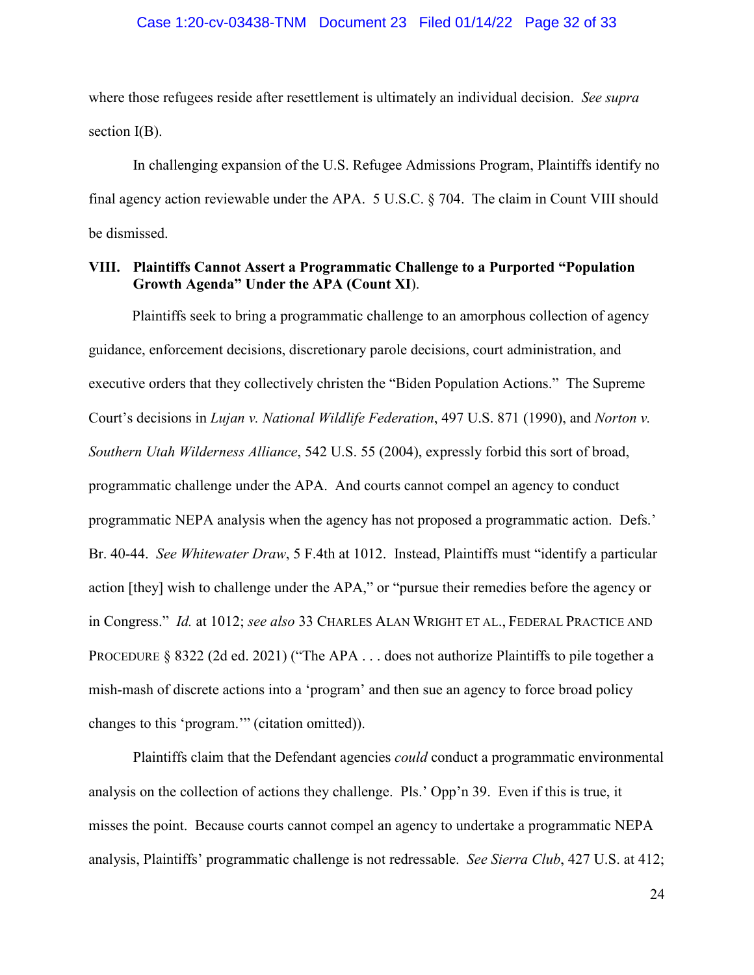#### Case 1:20-cv-03438-TNM Document 23 Filed 01/14/22 Page 32 of 33

where those refugees reside after resettlement is ultimately an individual decision. *See supra*  section I(B).

In challenging expansion of the U.S. Refugee Admissions Program, Plaintiffs identify no final agency action reviewable under the APA. 5 U.S.C. § 704. The claim in Count VIII should be dismissed.

## **VIII. Plaintiffs Cannot Assert a Programmatic Challenge to a Purported "Population Growth Agenda" Under the APA (Count XI**).

Plaintiffs seek to bring a programmatic challenge to an amorphous collection of agency guidance, enforcement decisions, discretionary parole decisions, court administration, and executive orders that they collectively christen the "Biden Population Actions." The Supreme Court's decisions in *Lujan v. National Wildlife Federation*, 497 U.S. 871 (1990), and *Norton v. Southern Utah Wilderness Alliance*, 542 U.S. 55 (2004), expressly forbid this sort of broad, programmatic challenge under the APA. And courts cannot compel an agency to conduct programmatic NEPA analysis when the agency has not proposed a programmatic action. Defs.' Br. 40-44. *See Whitewater Draw*, 5 F.4th at 1012. Instead, Plaintiffs must "identify a particular action [they] wish to challenge under the APA," or "pursue their remedies before the agency or in Congress." *Id.* at 1012; *see also* 33 CHARLES ALAN WRIGHT ET AL., FEDERAL PRACTICE AND PROCEDURE § 8322 (2d ed. 2021) ("The APA . . . does not authorize Plaintiffs to pile together a mish-mash of discrete actions into a 'program' and then sue an agency to force broad policy changes to this 'program.'" (citation omitted)).

Plaintiffs claim that the Defendant agencies *could* conduct a programmatic environmental analysis on the collection of actions they challenge. Pls.' Opp'n 39. Even if this is true, it misses the point. Because courts cannot compel an agency to undertake a programmatic NEPA analysis, Plaintiffs' programmatic challenge is not redressable. *See Sierra Club*, 427 U.S. at 412;